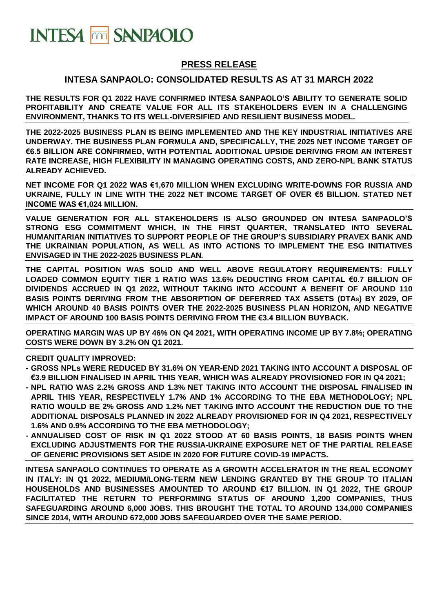

## **PRESS RELEASE**

### **INTESA SANPAOLO: CONSOLIDATED RESULTS AS AT 31 MARCH 2022**

**THE RESULTS FOR Q1 2022 HAVE CONFIRMED INTESA SANPAOLO'S ABILITY TO GENERATE SOLID PROFITABILITY AND CREATE VALUE FOR ALL ITS STAKEHOLDERS EVEN IN A CHALLENGING ENVIRONMENT, THANKS TO ITS WELL-DIVERSIFIED AND RESILIENT BUSINESS MODEL.**

**THE 2022-2025 BUSINESS PLAN IS BEING IMPLEMENTED AND THE KEY INDUSTRIAL INITIATIVES ARE UNDERWAY. THE BUSINESS PLAN FORMULA AND, SPECIFICALLY, THE 2025 NET INCOME TARGET OF €6.5 BILLION ARE CONFIRMED, WITH POTENTIAL ADDITIONAL UPSIDE DERIVING FROM AN INTEREST RATE INCREASE, HIGH FLEXIBILITY IN MANAGING OPERATING COSTS, AND ZERO-NPL BANK STATUS ALREADY ACHIEVED.** 

**NET INCOME FOR Q1 2022 WAS €1,670 MILLION WHEN EXCLUDING WRITE-DOWNS FOR RUSSIA AND UKRAINE, FULLY IN LINE WITH THE 2022 NET INCOME TARGET OF OVER €5 BILLION. STATED NET INCOME WAS €1,024 MILLION.**

**VALUE GENERATION FOR ALL STAKEHOLDERS IS ALSO GROUNDED ON INTESA SANPAOLO'S STRONG ESG COMMITMENT WHICH, IN THE FIRST QUARTER, TRANSLATED INTO SEVERAL HUMANITARIAN INITIATIVES TO SUPPORT PEOPLE OF THE GROUP'S SUBSIDIARY PRAVEX BANK AND THE UKRAINIAN POPULATION, AS WELL AS INTO ACTIONS TO IMPLEMENT THE ESG INITIATIVES ENVISAGED IN THE 2022-2025 BUSINESS PLAN***.*

**THE CAPITAL POSITION WAS SOLID AND WELL ABOVE REGULATORY REQUIREMENTS: FULLY LOADED COMMON EQUITY TIER 1 RATIO WAS 13.6% DEDUCTING FROM CAPITAL €0.7 BILLION OF DIVIDENDS ACCRUED IN Q1 2022, WITHOUT TAKING INTO ACCOUNT A BENEFIT OF AROUND 110 BASIS POINTS DERIVING FROM THE ABSORPTION OF DEFERRED TAX ASSETS (DTAS) BY 2029, OF WHICH AROUND 40 BASIS POINTS OVER THE 2022-2025 BUSINESS PLAN HORIZON, AND NEGATIVE IMPACT OF AROUND 100 BASIS POINTS DERIVING FROM THE €3.4 BILLION BUYBACK.**

**OPERATING MARGIN WAS UP BY 46% ON Q4 2021, WITH OPERATING INCOME UP BY 7.8%; OPERATING COSTS WERE DOWN BY 3.2% ON Q1 2021.**

**CREDIT QUALITY IMPROVED:**

- **- GROSS NPLs WERE REDUCED BY 31.6% ON YEAR-END 2021 TAKING INTO ACCOUNT A DISPOSAL OF €3.9 BILLION FINALISED IN APRIL THIS YEAR, WHICH WAS ALREADY PROVISIONED FOR IN Q4 2021;**
- **- NPL RATIO WAS 2.2% GROSS AND 1.3% NET TAKING INTO ACCOUNT THE DISPOSAL FINALISED IN APRIL THIS YEAR, RESPECTIVELY 1.7% AND 1% ACCORDING TO THE EBA METHODOLOGY; NPL RATIO WOULD BE 2% GROSS AND 1.2% NET TAKING INTO ACCOUNT THE REDUCTION DUE TO THE ADDITIONAL DISPOSALS PLANNED IN 2022 ALREADY PROVISIONED FOR IN Q4 2021, RESPECTIVELY 1.6% AND 0.9% ACCORDING TO THE EBA METHODOLOGY;**
- **- ANNUALISED COST OF RISK IN Q1 2022 STOOD AT 60 BASIS POINTS, 18 BASIS POINTS WHEN EXCLUDING ADJUSTMENTS FOR THE RUSSIA-UKRAINE EXPOSURE NET OF THE PARTIAL RELEASE OF GENERIC PROVISIONS SET ASIDE IN 2020 FOR FUTURE COVID-19 IMPACTS.**

**INTESA SANPAOLO CONTINUES TO OPERATE AS A GROWTH ACCELERATOR IN THE REAL ECONOMY IN ITALY: IN Q1 2022, MEDIUM/LONG-TERM NEW LENDING GRANTED BY THE GROUP TO ITALIAN HOUSEHOLDS AND BUSINESSES AMOUNTED TO AROUND €17 BILLION. IN Q1 2022, THE GROUP FACILITATED THE RETURN TO PERFORMING STATUS OF AROUND 1,200 COMPANIES, THUS SAFEGUARDING AROUND 6,000 JOBS. THIS BROUGHT THE TOTAL TO AROUND 134,000 COMPANIES SINCE 2014, WITH AROUND 672,000 JOBS SAFEGUARDED OVER THE SAME PERIOD.**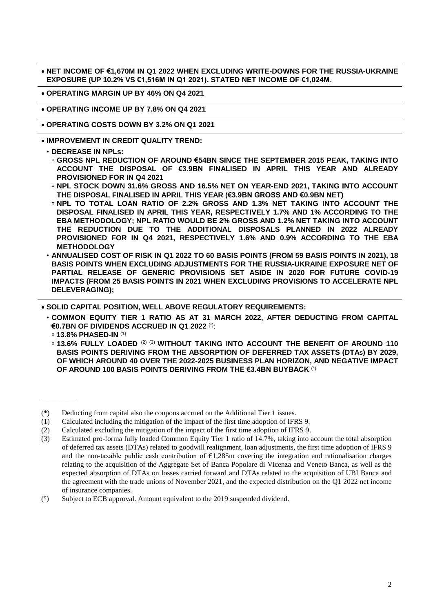• **NET INCOME OF €1,670M IN Q1 2022 WHEN EXCLUDING WRITE-DOWNS FOR THE RUSSIA-UKRAINE EXPOSURE (UP 10.2% VS €1,516M IN Q1 2021). STATED NET INCOME OF €1,024M.**

• **OPERATING MARGIN UP BY 46% ON Q4 2021**

• **OPERATING INCOME UP BY 7.8% ON Q4 2021**

• **OPERATING COSTS DOWN BY 3.2% ON Q1 2021**

• **IMPROVEMENT IN CREDIT QUALITY TREND:**

- **GROSS NPL REDUCTION OF AROUND €54BN SINCE THE SEPTEMBER 2015 PEAK, TAKING INTO ACCOUNT THE DISPOSAL OF €3.9BN FINALISED IN APRIL THIS YEAR AND ALREADY PROVISIONED FOR IN Q4 2021**
- **NPL STOCK DOWN 31.6% GROSS AND 16.5% NET ON YEAR-END 2021, TAKING INTO ACCOUNT THE DISPOSAL FINALISED IN APRIL THIS YEAR (€3.9BN GROSS AND €0.9BN NET)**
- **NPL TO TOTAL LOAN RATIO OF 2.2% GROSS AND 1.3% NET TAKING INTO ACCOUNT THE DISPOSAL FINALISED IN APRIL THIS YEAR, RESPECTIVELY 1.7% AND 1% ACCORDING TO THE EBA METHODOLOGY; NPL RATIO WOULD BE 2% GROSS AND 1.2% NET TAKING INTO ACCOUNT THE REDUCTION DUE TO THE ADDITIONAL DISPOSALS PLANNED IN 2022 ALREADY PROVISIONED FOR IN Q4 2021, RESPECTIVELY 1.6% AND 0.9% ACCORDING TO THE EBA METHODOLOGY**
- **ANNUALISED COST OF RISK IN Q1 2022 TO 60 BASIS POINTS (FROM 59 BASIS POINTS IN 2021), 18 BASIS POINTS WHEN EXCLUDING ADJUSTMENTS FOR THE RUSSIA-UKRAINE EXPOSURE NET OF PARTIAL RELEASE OF GENERIC PROVISIONS SET ASIDE IN 2020 FOR FUTURE COVID-19 IMPACTS (FROM 25 BASIS POINTS IN 2021 WHEN EXCLUDING PROVISIONS TO ACCELERATE NPL DELEVERAGING);**

• **SOLID CAPITAL POSITION, WELL ABOVE REGULATORY REQUIREMENTS:**

- **COMMON EQUITY TIER 1 RATIO AS AT 31 MARCH 2022, AFTER DEDUCTING FROM CAPITAL €0.7BN OF DIVIDENDS ACCRUED IN Q1 2022** (\*):
	- **13.8% PHASED-IN** (1)

\_\_\_\_\_\_\_\_\_\_\_\_

 **13.6% FULLY LOADED** (2) (3) **WITHOUT TAKING INTO ACCOUNT THE BENEFIT OF AROUND 110 BASIS POINTS DERIVING FROM THE ABSORPTION OF DEFERRED TAX ASSETS (DTAS) BY 2029, OF WHICH AROUND 40 OVER THE 2022-2025 BUSINESS PLAN HORIZON, AND NEGATIVE IMPACT OF AROUND 100 BASIS POINTS DERIVING FROM THE €3.4BN BUYBACK** (°)

<sup>•</sup> **DECREASE IN NPLs:**

<sup>(\*)</sup> Deducting from capital also the coupons accrued on the Additional Tier 1 issues.

<sup>(1)</sup> Calculated including the mitigation of the impact of the first time adoption of IFRS 9.

<sup>(2)</sup> Calculated excluding the mitigation of the impact of the first time adoption of IFRS 9.

<sup>(3)</sup> Estimated pro-forma fully loaded Common Equity Tier 1 ratio of 14.7%, taking into account the total absorption of deferred tax assets (DTAs) related to goodwill realignment, loan adjustments, the first time adoption of IFRS 9 and the non-taxable public cash contribution of  $\epsilon$ 1,285m covering the integration and rationalisation charges relating to the acquisition of the Aggregate Set of Banca Popolare di Vicenza and Veneto Banca, as well as the expected absorption of DTAs on losses carried forward and DTAs related to the acquisition of UBI Banca and the agreement with the trade unions of November 2021, and the expected distribution on the Q1 2022 net income of insurance companies.

<sup>(°)</sup> Subject to ECB approval. Amount equivalent to the 2019 suspended dividend.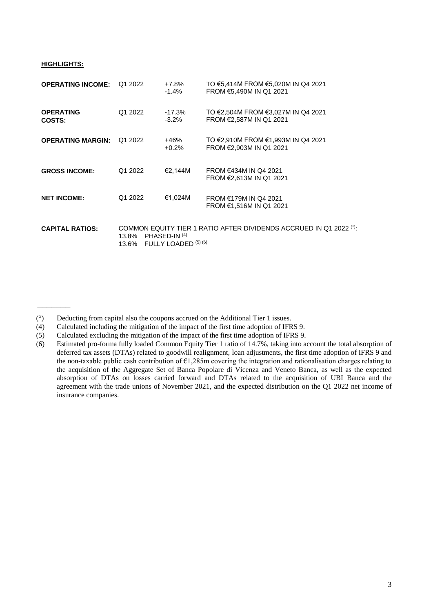#### **HIGHLIGHTS:**

 $\overline{\phantom{a}}$ 

| <b>OPERATING INCOME:</b>          | Q1 2022        | +7.8%<br>-1.4%                            | TO €5,414M FROM €5,020M IN Q4 2021<br>FROM €5,490M IN Q1 2021      |
|-----------------------------------|----------------|-------------------------------------------|--------------------------------------------------------------------|
| <b>OPERATING</b><br><b>COSTS:</b> | Q1 2022        | $-17.3\%$<br>$-3.2\%$                     | TO €2,504M FROM €3,027M IN Q4 2021<br>FROM €2,587M IN Q1 2021      |
| <b>OPERATING MARGIN:</b>          | Q1 2022        | +46%<br>$+0.2%$                           | TO €2,910M FROM €1,993M IN Q4 2021<br>FROM €2,903M IN Q1 2021      |
| <b>GROSS INCOME:</b>              | Q1 2022        | €2.144M                                   | FROM €434M IN Q4 2021<br>FROM €2,613M IN Q1 2021                   |
| <b>NET INCOME:</b>                | Q1 2022        | €1,024M                                   | FROM €179M IN Q4 2021<br>FROM €1,516M IN Q1 2021                   |
| <b>CAPITAL RATIOS:</b>            | 13.8%<br>13.6% | PHASED-IN (4)<br>FULLY LOADED $(5)$ $(6)$ | COMMON EQUITY TIER 1 RATIO AFTER DIVIDENDS ACCRUED IN Q1 2022 (°): |

- (4) Calculated including the mitigation of the impact of the first time adoption of IFRS 9.
- (5) Calculated excluding the mitigation of the impact of the first time adoption of IFRS 9.

<sup>(°)</sup> Deducting from capital also the coupons accrued on the Additional Tier 1 issues.

<sup>(6)</sup> Estimated pro-forma fully loaded Common Equity Tier 1 ratio of 14.7%, taking into account the total absorption of deferred tax assets (DTAs) related to goodwill realignment, loan adjustments, the first time adoption of IFRS 9 and the non-taxable public cash contribution of  $E1,285m$  covering the integration and rationalisation charges relating to the acquisition of the Aggregate Set of Banca Popolare di Vicenza and Veneto Banca, as well as the expected absorption of DTAs on losses carried forward and DTAs related to the acquisition of UBI Banca and the agreement with the trade unions of November 2021, and the expected distribution on the Q1 2022 net income of insurance companies.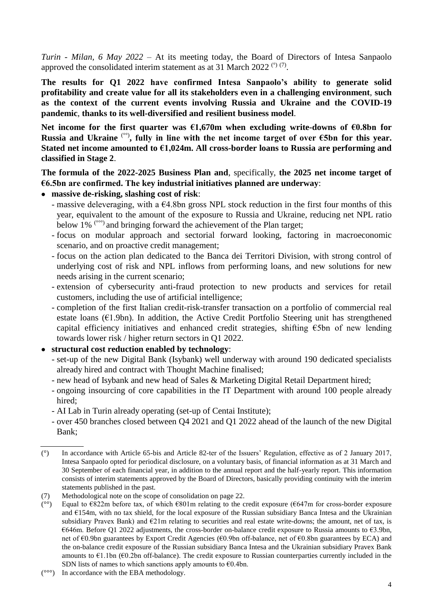*Turin - Milan, 6 May 2022* – At its meeting today, the Board of Directors of Intesa Sanpaolo approved the consolidated interim statement as at 31 March 2022<sup>( $\degree$ )</sup>.

**The results for Q1 2022 have confirmed Intesa Sanpaolo's ability to generate solid profitability and create value for all its stakeholders even in a challenging environment**, **such as the context of the current events involving Russia and Ukraine and the COVID-19 pandemic**, **thanks to its well-diversified and resilient business model**.

**Net income for the first quarter was €1,670m when excluding write-downs of €0.8bn for Russia and Ukraine** (°°) **, fully in line with the net income target of over €5bn for this year. Stated net income amounted to €1,024m. All cross-border loans to Russia are performing and classified in Stage 2**.

**The formula of the 2022-2025 Business Plan and**, specifically, **the 2025 net income target of €6.5bn are confirmed. The key industrial initiatives planned are underway**:

- **massive de-risking, slashing cost of risk**:
	- massive deleveraging, with a  $64.8$ bn gross NPL stock reduction in the first four months of this year, equivalent to the amount of the exposure to Russia and Ukraine, reducing net NPL ratio below 1% (°°°) and bringing forward the achievement of the Plan target;
	- focus on modular approach and sectorial forward looking, factoring in macroeconomic scenario, and on proactive credit management;
	- focus on the action plan dedicated to the Banca dei Territori Division, with strong control of underlying cost of risk and NPL inflows from performing loans, and new solutions for new needs arising in the current scenario;
	- extension of cybersecurity anti-fraud protection to new products and services for retail customers, including the use of artificial intelligence;
	- completion of the first Italian credit-risk-transfer transaction on a portfolio of commercial real estate loans ( $E1.9$ bn). In addition, the Active Credit Portfolio Steering unit has strengthened capital efficiency initiatives and enhanced credit strategies, shifting €5bn of new lending towards lower risk / higher return sectors in Q1 2022.
- **structural cost reduction enabled by technology**:
	- set-up of the new Digital Bank (Isybank) well underway with around 190 dedicated specialists already hired and contract with Thought Machine finalised;
	- new head of Isybank and new head of Sales & Marketing Digital Retail Department hired;
	- ongoing insourcing of core capabilities in the IT Department with around 100 people already hired;
	- AI Lab in Turin already operating (set-up of Centai Institute);
	- over 450 branches closed between Q4 2021 and Q1 2022 ahead of the launch of the new Digital Bank;

<sup>(°)</sup> In accordance with Article 65*-*bis and Article 82*-*ter of the Issuers' Regulation, effective as of 2 January 2017, Intesa Sanpaolo opted for periodical disclosure, on a voluntary basis, of financial information as at 31 March and 30 September of each financial year, in addition to the annual report and the half-yearly report. This information consists of interim statements approved by the Board of Directors, basically providing continuity with the interim statements published in the past.

<sup>(7)</sup> Methodological note on the scope of consolidation on page 22.

<sup>(</sup> $^{\circ\circ}$ ) Equal to  $\epsilon$ 822m before tax, of which  $\epsilon$ 801m relating to the credit exposure ( $\epsilon$ 647m for cross-border exposure and €154m, with no tax shield, for the local exposure of the Russian subsidiary Banca Intesa and the Ukrainian subsidiary Pravex Bank) and €21m relating to securities and real estate write-downs; the amount, net of tax, is €646m. Before Q1 2022 adjustments, the cross-border on-balance credit exposure to Russia amounts to €3.9bn, net of €0.9bn guarantees by Export Credit Agencies (€0.9bn off-balance, net of €0.8bn guarantees by ECA) and the on-balance credit exposure of the Russian subsidiary Banca Intesa and the Ukrainian subsidiary Pravex Bank amounts to  $\epsilon$ 1.1bn ( $\epsilon$ 0.2bn off-balance). The credit exposure to Russian counterparties currently included in the SDN lists of names to which sanctions apply amounts to  $\epsilon$ 0.4bn.

 $(°\circ)$  In accordance with the EBA methodology.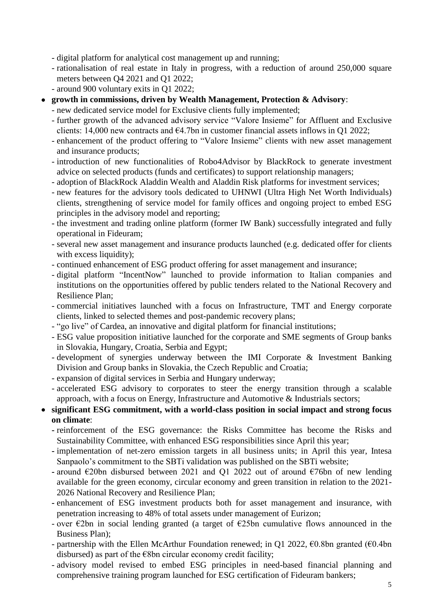- digital platform for analytical cost management up and running;

- rationalisation of real estate in Italy in progress, with a reduction of around 250,000 square meters between Q4 2021 and Q1 2022;

- around 900 voluntary exits in Q1 2022;

- **growth in commissions, driven by Wealth Management, Protection & Advisory**:
	- new dedicated service model for Exclusive clients fully implemented;
	- further growth of the advanced advisory service "Valore Insieme" for Affluent and Exclusive clients: 14,000 new contracts and  $64.7$ bn in customer financial assets inflows in Q1 2022;
	- enhancement of the product offering to "Valore Insieme" clients with new asset management and insurance products;
	- introduction of new functionalities of Robo4Advisor by BlackRock to generate investment advice on selected products (funds and certificates) to support relationship managers;
	- adoption of BlackRock Aladdin Wealth and Aladdin Risk platforms for investment services;
	- new features for the advisory tools dedicated to UHNWI (Ultra High Net Worth Individuals) clients, strengthening of service model for family offices and ongoing project to embed ESG principles in the advisory model and reporting;
	- the investment and trading online platform (former IW Bank) successfully integrated and fully operational in Fideuram;
	- several new asset management and insurance products launched (e.g. dedicated offer for clients with excess liquidity);
	- continued enhancement of ESG product offering for asset management and insurance;
	- digital platform "IncentNow" launched to provide information to Italian companies and institutions on the opportunities offered by public tenders related to the National Recovery and Resilience Plan;
	- commercial initiatives launched with a focus on Infrastructure, TMT and Energy corporate clients, linked to selected themes and post-pandemic recovery plans;
	- "go live" of Cardea, an innovative and digital platform for financial institutions;
	- ESG value proposition initiative launched for the corporate and SME segments of Group banks in Slovakia, Hungary, Croatia, Serbia and Egypt;
	- development of synergies underway between the IMI Corporate & Investment Banking Division and Group banks in Slovakia, the Czech Republic and Croatia;
	- expansion of digital services in Serbia and Hungary underway;
	- accelerated ESG advisory to corporates to steer the energy transition through a scalable approach, with a focus on Energy, Infrastructure and Automotive & Industrials sectors;
- **significant ESG commitment, with a world-class position in social impact and strong focus on climate**:
	- **-** reinforcement of the ESG governance: the Risks Committee has become the Risks and Sustainability Committee, with enhanced ESG responsibilities since April this year;
	- **-** implementation of net-zero emission targets in all business units; in April this year, Intesa Sanpaolo's commitment to the SBTi validation was published on the SBTi website;
	- **-** around €20bn disbursed between 2021 and Q1 2022 out of around €76bn of new lending available for the green economy, circular economy and green transition in relation to the 2021- 2026 National Recovery and Resilience Plan;
	- **-** enhancement of ESG investment products both for asset management and insurance, with penetration increasing to 48% of total assets under management of Eurizon;
	- over  $\epsilon$ 2bn in social lending granted (a target of  $\epsilon$ 25bn cumulative flows announced in the Business Plan);
	- partnership with the Ellen McArthur Foundation renewed; in Q1 2022,  $\epsilon$ 0.8bn granted ( $\epsilon$ 0.4bn disbursed) as part of the  $\epsilon$ 8bn circular economy credit facility;
	- advisory model revised to embed ESG principles in need-based financial planning and comprehensive training program launched for ESG certification of Fideuram bankers;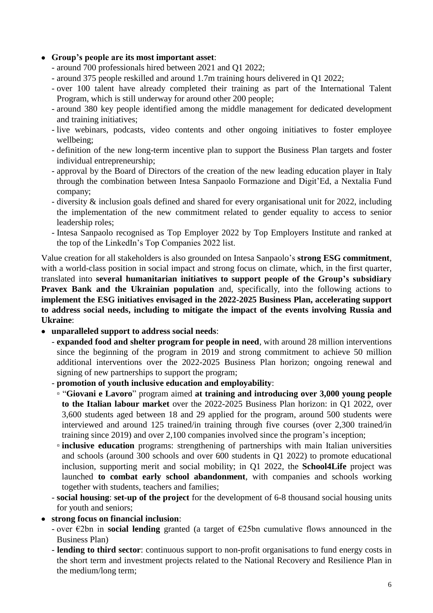### • **Group's people are its most important asset**:

- around 700 professionals hired between 2021 and Q1 2022;
- around 375 people reskilled and around 1.7m training hours delivered in Q1 2022;
- over 100 talent have already completed their training as part of the International Talent Program, which is still underway for around other 200 people;
- around 380 key people identified among the middle management for dedicated development and training initiatives;
- live webinars, podcasts, video contents and other ongoing initiatives to foster employee wellbeing;
- definition of the new long-term incentive plan to support the Business Plan targets and foster individual entrepreneurship;
- approval by the Board of Directors of the creation of the new leading education player in Italy through the combination between Intesa Sanpaolo Formazione and Digit'Ed, a Nextalia Fund company;
- diversity & inclusion goals defined and shared for every organisational unit for 2022, including the implementation of the new commitment related to gender equality to access to senior leadership roles;
- Intesa Sanpaolo recognised as Top Employer 2022 by Top Employers Institute and ranked at the top of the LinkedIn's Top Companies 2022 list.

Value creation for all stakeholders is also grounded on Intesa Sanpaolo's **strong ESG commitment**, with a world-class position in social impact and strong focus on climate, which, in the first quarter, translated into **several humanitarian initiatives to support people of the Group's subsidiary Pravex Bank and the Ukrainian population** and, specifically, into the following actions to **implement the ESG initiatives envisaged in the 2022-2025 Business Plan, accelerating support to address social needs, including to mitigate the impact of the events involving Russia and Ukraine**:

- • **unparalleled support to address social needs**:
	- **expanded food and shelter program for people in need**, with around 28 million interventions since the beginning of the program in 2019 and strong commitment to achieve 50 million additional interventions over the 2022-2025 Business Plan horizon; ongoing renewal and signing of new partnerships to support the program;
	- **promotion of youth inclusive education and employability**:
	- "**Giovani e Lavoro**" program aimed **at training and introducing over 3,000 young people to the Italian labour market** over the 2022-2025 Business Plan horizon: in Q1 2022, over 3,600 students aged between 18 and 29 applied for the program, around 500 students were interviewed and around 125 trained/in training through five courses (over 2,300 trained/in training since 2019) and over 2,100 companies involved since the program's inception;
	- **inclusive education** programs: strengthening of partnerships with main Italian universities and schools (around 300 schools and over 600 students in Q1 2022) to promote educational inclusion, supporting merit and social mobility; in Q1 2022, the **School4Life** project was launched **to combat early school abandonment**, with companies and schools working together with students, teachers and families;
	- **social housing**: **set-up of the project** for the development of 6-8 thousand social housing units for youth and seniors;
- **strong focus on financial inclusion**:
	- over €2bn in **social lending** granted (a target of €25bn cumulative flows announced in the Business Plan)
	- **lending to third sector**: continuous support to non-profit organisations to fund energy costs in the short term and investment projects related to the National Recovery and Resilience Plan in the medium/long term;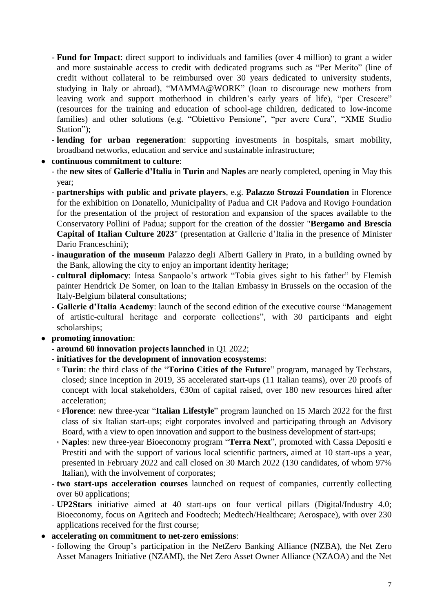- **Fund for Impact**: direct support to individuals and families (over 4 million) to grant a wider and more sustainable access to credit with dedicated programs such as "Per Merito" (line of credit without collateral to be reimbursed over 30 years dedicated to university students, studying in Italy or abroad), "MAMMA@WORK" (loan to discourage new mothers from leaving work and support motherhood in children's early years of life), "per Crescere" (resources for the training and education of school-age children, dedicated to low-income families) and other solutions (e.g. "Obiettivo Pensione", "per avere Cura", "XME Studio Station");
- **lending for urban regeneration**: supporting investments in hospitals, smart mobility, broadband networks, education and service and sustainable infrastructure;
- **continuous commitment to culture**:
	- the **new sites** of **Gallerie d'Italia** in **Turin** and **Naples** are nearly completed, opening in May this year;
	- **partnerships with public and private players**, e.g. **Palazzo Strozzi Foundation** in Florence for the exhibition on Donatello, Municipality of Padua and CR Padova and Rovigo Foundation for the presentation of the project of restoration and expansion of the spaces available to the Conservatory Pollini of Padua; support for the creation of the dossier "**Bergamo and Brescia Capital of Italian Culture 2023**" (presentation at Gallerie d'Italia in the presence of Minister Dario Franceschini);
	- **inauguration of the museum** Palazzo degli Alberti Gallery in Prato, in a building owned by the Bank, allowing the city to enjoy an important identity heritage;
	- **cultural diplomacy**: Intesa Sanpaolo's artwork "Tobia gives sight to his father" by Flemish painter Hendrick De Somer, on loan to the Italian Embassy in Brussels on the occasion of the Italy-Belgium bilateral consultations;
	- **Gallerie d'Italia Academy**: launch of the second edition of the executive course "Management of artistic-cultural heritage and corporate collections", with 30 participants and eight scholarships;
- **promoting innovation**:
	- **- around 60 innovation projects launched** in Q1 2022;
	- **initiatives for the development of innovation ecosystems**:
		- **Turin**: the third class of the "**Torino Cities of the Future**" program, managed by Techstars, closed; since inception in 2019, 35 accelerated start-ups (11 Italian teams), over 20 proofs of concept with local stakeholders, €30m of capital raised, over 180 new resources hired after acceleration;
		- **Florence**: new three-year "**Italian Lifestyle**" program launched on 15 March 2022 for the first class of six Italian start-ups; eight corporates involved and participating through an Advisory Board, with a view to open innovation and support to the business development of start-ups;
		- **Naples**: new three-year Bioeconomy program "**Terra Next**", promoted with Cassa Depositi e Prestiti and with the support of various local scientific partners, aimed at 10 start-ups a year, presented in February 2022 and call closed on 30 March 2022 (130 candidates, of whom 97% Italian), with the involvement of corporates;
	- **two start-ups acceleration courses** launched on request of companies, currently collecting over 60 applications;
	- **UP2Stars** initiative aimed at 40 start-ups on four vertical pillars (Digital/Industry 4.0; Bioeconomy, focus on Agritech and Foodtech; Medtech/Healthcare; Aerospace), with over 230 applications received for the first course;
- **accelerating on commitment to net-zero emissions**:
	- following the Group's participation in the NetZero Banking Alliance (NZBA), the Net Zero Asset Managers Initiative (NZAMI), the Net Zero Asset Owner Alliance (NZAOA) and the Net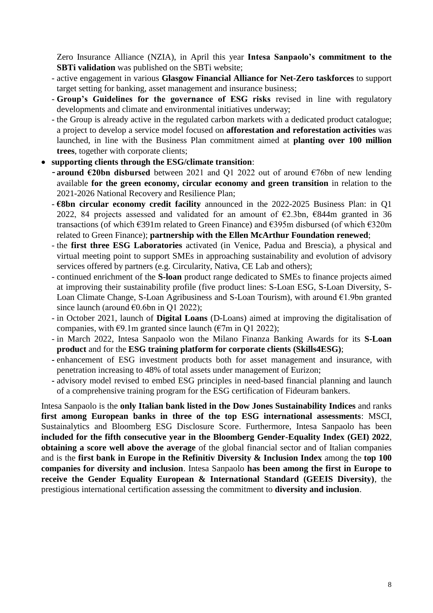Zero Insurance Alliance (NZIA), in April this year **Intesa Sanpaolo's commitment to the SBTi validation** was published on the SBTi website;

- active engagement in various **Glasgow Financial Alliance for Net-Zero taskforces** to support target setting for banking, asset management and insurance business;
- **Group's Guidelines for the governance of ESG risks** revised in line with regulatory developments and climate and environmental initiatives underway;
- the Group is already active in the regulated carbon markets with a dedicated product catalogue; a project to develop a service model focused on **afforestation and reforestation activities** was launched, in line with the Business Plan commitment aimed at **planting over 100 million trees**, together with corporate clients;

#### • **supporting clients through the ESG/climate transition**:

- **around €20bn disbursed** between 2021 and Q1 2022 out of around €76bn of new lending available **for the green economy, circular economy and green transition** in relation to the 2021-2026 National Recovery and Resilience Plan;
- **€8bn circular economy credit facility** announced in the 2022-2025 Business Plan: in Q1 2022, 84 projects assessed and validated for an amount of  $\epsilon$ 2.3bn,  $\epsilon$ 844m granted in 36 transactions (of which €391m related to Green Finance) and €395m disbursed (of which €320m related to Green Finance); **partnership with the Ellen McArthur Foundation renewed**;
- the **first three ESG Laboratories** activated (in Venice, Padua and Brescia), a physical and virtual meeting point to support SMEs in approaching sustainability and evolution of advisory services offered by partners (e.g. Circularity, Nativa, CE Lab and others);
- continued enrichment of the **S-loan** product range dedicated to SMEs to finance projects aimed at improving their sustainability profile (five product lines: S-Loan ESG, S-Loan Diversity, S-Loan Climate Change, S-Loan Agribusiness and S-Loan Tourism), with around  $\epsilon$ 1.9bn granted since launch (around  $\epsilon$ 0.6bn in Q1 2022);
- in October 2021, launch of **Digital Loans** (D-Loans) aimed at improving the digitalisation of companies, with  $\epsilon$ 9.1m granted since launch ( $\epsilon$ 7m in Q1 2022);
- in March 2022, Intesa Sanpaolo won the Milano Finanza Banking Awards for its **S-Loan product** and for the **ESG training platform for corporate clients (Skills4ESG)**;
- **-** enhancement of ESG investment products both for asset management and insurance, with penetration increasing to 48% of total assets under management of Eurizon;
- **-** advisory model revised to embed ESG principles in need-based financial planning and launch of a comprehensive training program for the ESG certification of Fideuram bankers.

Intesa Sanpaolo is the **only Italian bank listed in the Dow Jones Sustainability Indices** and ranks **first among European banks in three of the top ESG international assessments**: MSCI, Sustainalytics and Bloomberg ESG Disclosure Score. Furthermore, Intesa Sanpaolo has been **included for the fifth consecutive year in the Bloomberg Gender-Equality Index (GEI) 2022**, **obtaining a score well above the average** of the global financial sector and of Italian companies and is the **first bank in Europe in the Refinitiv Diversity & Inclusion Index** among the **top 100 companies for diversity and inclusion**. Intesa Sanpaolo **has been among the first in Europe to receive the Gender Equality European & International Standard (GEEIS Diversity)**, the prestigious international certification assessing the commitment to **diversity and inclusion**.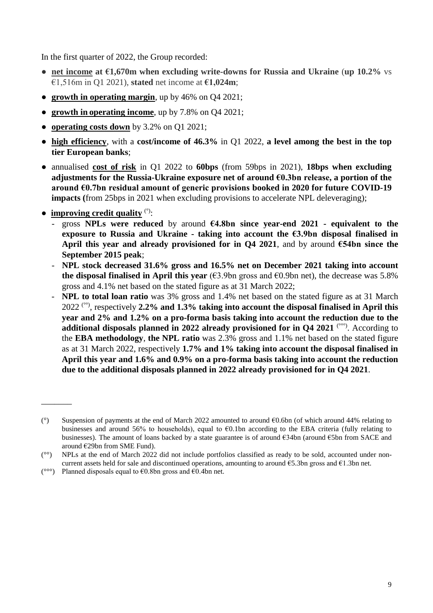In the first quarter of 2022, the Group recorded:

- **● net income at €1,670m when excluding write-downs for Russia and Ukraine** (**up 10.2%** vs €1,516m in Q1 2021), **stated** net income at **€1,024m**;
- **● growth in operating margin**, up by 46% on Q4 2021;
- **● growth in operating income**, up by 7.8% on Q4 2021;
- **● operating costs down** by 3.2% on Q1 2021;
- **● high efficiency**, with a **cost/income of 46.3%** in Q1 2022, **a level among the best in the top tier European banks**;
- annualised **cost of risk** in Q1 2022 to **60bps** (from 59bps in 2021), **18bps when excluding adjustments for the Russia-Ukraine exposure net of around €0.3bn release, a portion of the around €0.7bn residual amount of generic provisions booked in 2020 for future COVID-19 impacts (**from 25bps in 2021 when excluding provisions to accelerate NPL deleveraging);
- **improving credit quality** (°):

\_\_\_\_\_\_\_

- gross **NPLs were reduced** by around **€4.8bn since year-end 2021 - equivalent to the exposure to Russia and Ukraine - taking into account the €3.9bn disposal finalised in April this year and already provisioned for in Q4 2021**, and by around **€54bn since the September 2015 peak**;
- **NPL stock decreased 31.6% gross and 16.5% net on December 2021 taking into account the disposal finalised in April this year**  $(€3.9bn$  gross and  $€0.9bn$  net), the decrease was 5.8% gross and 4.1% net based on the stated figure as at 31 March 2022;
- **NPL to total loan ratio** was 3% gross and 1.4% net based on the stated figure as at 31 March 2022 (°°) , respectively **2.2% and 1.3% taking into account the disposal finalised in April this year and 2% and 1.2% on a pro-forma basis taking into account the reduction due to the additional disposals planned in 2022 already provisioned for in Q4 2021** (°°°) . According to the **EBA methodology**, **the NPL ratio** was 2.3% gross and 1.1% net based on the stated figure as at 31 March 2022, respectively **1.7% and 1% taking into account the disposal finalised in April this year and 1.6% and 0.9% on a pro-forma basis taking into account the reduction due to the additional disposals planned in 2022 already provisioned for in Q4 2021**.

( $^{\circ\circ\circ}$ ) Planned disposals equal to  $\epsilon$ 0.8bn gross and  $\epsilon$ 0.4bn net.

<sup>(°)</sup> Suspension of payments at the end of March 2022 amounted to around €0.6bn (of which around 44% relating to businesses and around 56% to households), equal to  $\epsilon$ 0.1bn according to the EBA criteria (fully relating to businesses). The amount of loans backed by a state guarantee is of around  $634bn$  (around  $65bn$  from SACE and around €29bn from SME Fund).

<sup>(°°)</sup> NPLs at the end of March 2022 did not include portfolios classified as ready to be sold, accounted under noncurrent assets held for sale and discontinued operations, amounting to around  $65.3$ bn gross and  $61.3$ bn net.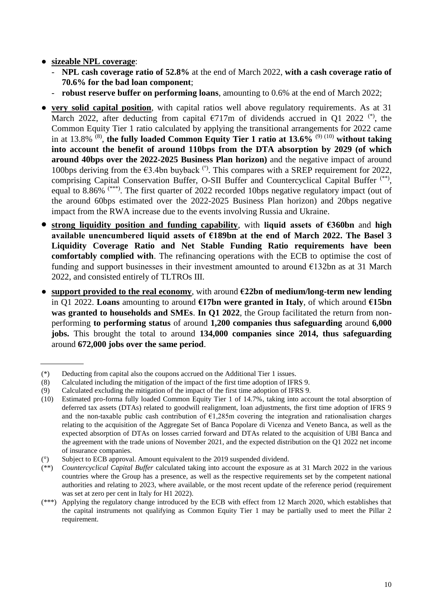- **● sizeable NPL coverage**:
	- **NPL cash coverage ratio of 52.8%** at the end of March 2022, **with a cash coverage ratio of 70.6% for the bad loan component**;
	- **robust reserve buffer on performing loans**, amounting to 0.6% at the end of March 2022;
- **very solid capital position**, with capital ratios well above regulatory requirements. As at 31 March 2022, after deducting from capital  $\epsilon$ 717m of dividends accrued in Q1 2022<sup>(\*)</sup>, the Common Equity Tier 1 ratio calculated by applying the transitional arrangements for 2022 came in at 13.8% (8) , **the fully loaded Common Equity Tier 1 ratio at 13.6%** (9) (10) **without taking into account the benefit of around 110bps from the DTA absorption by 2029 (of which around 40bps over the 2022-2025 Business Plan horizon)** and the negative impact of around 100bps deriving from the  $63.4$ bn buyback<sup>(°)</sup>. This compares with a SREP requirement for 2022, comprising Capital Conservation Buffer, O-SII Buffer and Countercyclical Capital Buffer<sup>(\*\*)</sup>, equal to 8.86%<sup>(\*\*\*)</sup>. The first quarter of 2022 recorded 10bps negative regulatory impact (out of the around 60bps estimated over the 2022-2025 Business Plan horizon) and 20bps negative impact from the RWA increase due to the events involving Russia and Ukraine.
- **strong liquidity position and funding capability**, with **liquid assets of €360bn** and **high available unencumbered liquid assets of €189bn at the end of March 2022. The Basel 3 Liquidity Coverage Ratio and Net Stable Funding Ratio requirements have been comfortably complied with**. The refinancing operations with the ECB to optimise the cost of funding and support businesses in their investment amounted to around  $E132$ bn as at 31 March 2022, and consisted entirely of TLTROs III.
- **support provided to the real economy,** with around  $\epsilon$ 22bn of medium/long-term new lending in Q1 2022. **Loans** amounting to around **€17bn were granted in Italy**, of which around **€15bn was granted to households and SMEs**. **In Q1 2022**, the Group facilitated the return from nonperforming **to performing status** of around **1,200 companies thus safeguarding** around **6,000 jobs.** This brought the total to around **134,000 companies since 2014, thus safeguarding**  around **672,000 jobs over the same period**.

<sup>(\*)</sup> Deducting from capital also the coupons accrued on the Additional Tier 1 issues.

<sup>(8)</sup> Calculated including the mitigation of the impact of the first time adoption of IFRS 9.

<sup>(9)</sup> Calculated excluding the mitigation of the impact of the first time adoption of IFRS 9.

<sup>(10)</sup> Estimated pro-forma fully loaded Common Equity Tier 1 of 14.7%, taking into account the total absorption of deferred tax assets (DTAs) related to goodwill realignment, loan adjustments, the first time adoption of IFRS 9 and the non-taxable public cash contribution of  $\epsilon$ 1,285m covering the integration and rationalisation charges relating to the acquisition of the Aggregate Set of Banca Popolare di Vicenza and Veneto Banca, as well as the expected absorption of DTAs on losses carried forward and DTAs related to the acquisition of UBI Banca and the agreement with the trade unions of November 2021, and the expected distribution on the Q1 2022 net income of insurance companies.

<sup>(°)</sup> Subject to ECB approval. Amount equivalent to the 2019 suspended dividend.

<sup>(\*\*)</sup> *Countercyclical Capital Buffer* calculated taking into account the exposure as at 31 March 2022 in the various countries where the Group has a presence, as well as the respective requirements set by the competent national authorities and relating to 2023, where available, or the most recent update of the reference period (requirement was set at zero per cent in Italy for H1 2022).

<sup>(\*\*\*)</sup> Applying the regulatory change introduced by the ECB with effect from 12 March 2020, which establishes that the capital instruments not qualifying as Common Equity Tier 1 may be partially used to meet the Pillar 2 requirement.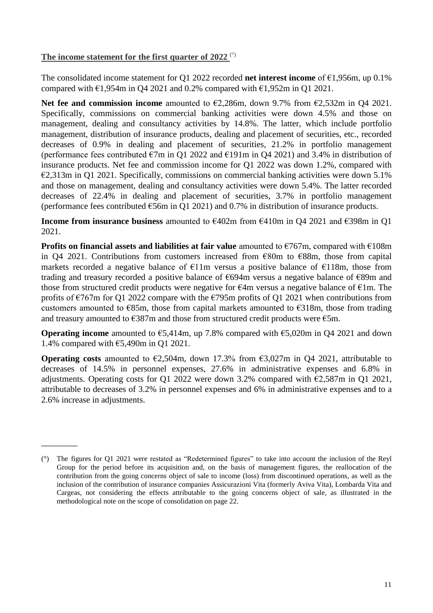#### **The income statement for the first quarter of 2022** (°)

\_\_\_\_\_\_\_\_

The consolidated income statement for Q1 2022 recorded **net interest income** of €1,956m, up 0.1% compared with  $\epsilon$ 1,954m in Q4 2021 and 0.2% compared with  $\epsilon$ 1,952m in Q1 2021.

**Net fee and commission income** amounted to €2,286m, down 9.7% from €2,532m in Q4 2021. Specifically, commissions on commercial banking activities were down 4.5% and those on management, dealing and consultancy activities by 14.8%. The latter, which include portfolio management, distribution of insurance products, dealing and placement of securities, etc., recorded decreases of 0.9% in dealing and placement of securities, 21.2% in portfolio management (performance fees contributed  $\epsilon$ 7m in Q1 2022 and  $\epsilon$ 191m in Q4 2021) and 3.4% in distribution of insurance products. Net fee and commission income for Q1 2022 was down 1.2%, compared with  $\epsilon$ 2,313m in Q1 2021. Specifically, commissions on commercial banking activities were down 5.1% and those on management, dealing and consultancy activities were down 5.4%. The latter recorded decreases of 22.4% in dealing and placement of securities, 3.7% in portfolio management (performance fees contributed  $\epsilon$ 56m in Q1 2021) and 0.7% in distribution of insurance products.

**Income from insurance business** amounted to €402m from €410m in Q4 2021 and €398m in Q1 2021.

**Profits on financial assets and liabilities at fair value** amounted to €767m, compared with €108m in Q4 2021. Contributions from customers increased from €80m to €88m, those from capital markets recorded a negative balance of  $E11m$  versus a positive balance of  $E118m$ , those from trading and treasury recorded a positive balance of €694m versus a negative balance of €89m and those from structured credit products were negative for  $\epsilon$ 4m versus a negative balance of  $\epsilon$ 1m. The profits of  $\epsilon$ 767m for Q1 2022 compare with the  $\epsilon$ 795m profits of Q1 2021 when contributions from customers amounted to  $E$ 85m, those from capital markets amounted to  $E$ 318m, those from trading and treasury amounted to  $E387m$  and those from structured credit products were  $E5m$ .

**Operating income** amounted to €5,414m, up 7.8% compared with €5,020m in Q4 2021 and down 1.4% compared with  $\epsilon$ 5,490m in Q1 2021.

**Operating costs** amounted to  $\epsilon$ 2,504m, down 17.3% from  $\epsilon$ 3,027m in Q4 2021, attributable to decreases of 14.5% in personnel expenses, 27.6% in administrative expenses and 6.8% in adjustments. Operating costs for Q1 2022 were down 3.2% compared with  $\epsilon$ 2,587m in Q1 2021, attributable to decreases of 3.2% in personnel expenses and 6% in administrative expenses and to a 2.6% increase in adjustments.

<sup>(°)</sup> The figures for Q1 2021 were restated as "Redetermined figures" to take into account the inclusion of the Reyl Group for the period before its acquisition and, on the basis of management figures, the reallocation of the contribution from the going concerns object of sale to income (loss) from discontinued operations, as well as the inclusion of the contribution of insurance companies Assicurazioni Vita (formerly Aviva Vita), Lombarda Vita and Cargeas, not considering the effects attributable to the going concerns object of sale, as illustrated in the methodological note on the scope of consolidation on page 22.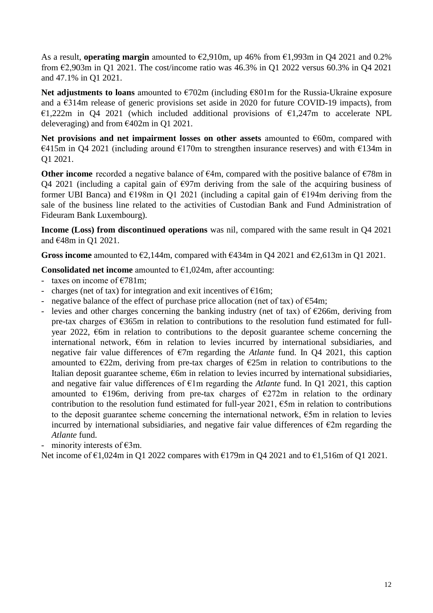As a result, **operating margin** amounted to €2,910m, up 46% from €1,993m in Q4 2021 and 0.2% from  $\epsilon$ 2,903m in Q1 2021. The cost/income ratio was 46.3% in Q1 2022 versus 60.3% in Q4 2021 and 47.1% in Q1 2021.

**Net adjustments to loans** amounted to €702m (including €801m for the Russia-Ukraine exposure and a €314m release of generic provisions set aside in 2020 for future COVID-19 impacts), from €1,222m in Q4 2021 (which included additional provisions of  $€1,247m$  to accelerate NPL deleveraging) and from €402m in Q1 2021.

**Net provisions and net impairment losses on other assets** amounted to €60m, compared with  $\epsilon$ 415m in Q4 2021 (including around  $\epsilon$ 170m to strengthen insurance reserves) and with  $\epsilon$ 134m in Q1 2021.

**Other income** recorded a negative balance of €4m, compared with the positive balance of €78m in Q4 2021 (including a capital gain of  $\epsilon$ 97m deriving from the sale of the acquiring business of former UBI Banca) and  $\epsilon$ 198m in Q1 2021 (including a capital gain of  $\epsilon$ 194m deriving from the sale of the business line related to the activities of Custodian Bank and Fund Administration of Fideuram Bank Luxembourg).

**Income (Loss) from discontinued operations** was nil, compared with the same result in Q4 2021 and €48m in Q1 2021.

Gross income amounted to  $\epsilon$ 2,144m, compared with  $\epsilon$ 434m in Q4 2021 and  $\epsilon$ 2,613m in Q1 2021.

**Consolidated net income** amounted to  $\epsilon$ 1,024m, after accounting:

- taxes on income of  $\epsilon$ 781m;
- charges (net of tax) for integration and exit incentives of  $E16m$ ;
- negative balance of the effect of purchase price allocation (net of tax) of  $\epsilon$ 54m;
- levies and other charges concerning the banking industry (net of tax) of  $\epsilon$ 266m, deriving from pre-tax charges of €365m in relation to contributions to the resolution fund estimated for fullyear 2022,  $\epsilon$ 6m in relation to contributions to the deposit guarantee scheme concerning the international network, €6m in relation to levies incurred by international subsidiaries, and negative fair value differences of €7m regarding the *Atlante* fund. In Q4 2021, this caption amounted to  $\epsilon$ 22m, deriving from pre-tax charges of  $\epsilon$ 25m in relation to contributions to the Italian deposit guarantee scheme,  $\epsilon$ 6m in relation to levies incurred by international subsidiaries, and negative fair value differences of €1m regarding the *Atlante* fund. In Q1 2021, this caption amounted to  $\epsilon$ 196m, deriving from pre-tax charges of  $\epsilon$ 272m in relation to the ordinary contribution to the resolution fund estimated for full-year 2021,  $\epsilon$ 5m in relation to contributions to the deposit guarantee scheme concerning the international network,  $\epsilon$ 5m in relation to levies incurred by international subsidiaries, and negative fair value differences of  $\epsilon$ 2m regarding the *Atlante* fund.

- minority interests of  $\epsilon$ 3m.

Net income of  $\epsilon$ 1,024m in Q1 2022 compares with  $\epsilon$ 179m in Q4 2021 and to  $\epsilon$ 1,516m of Q1 2021.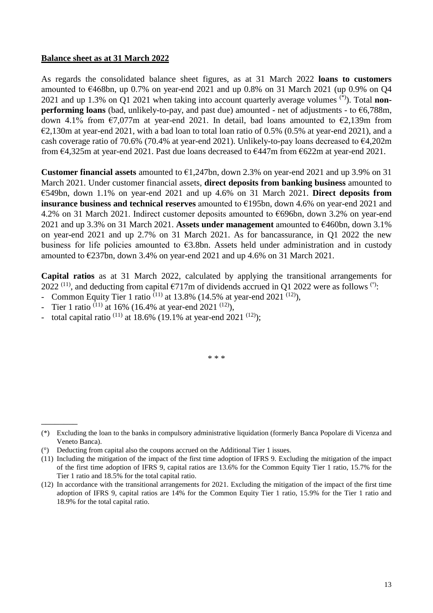#### **Balance sheet as at 31 March 2022**

As regards the consolidated balance sheet figures, as at 31 March 2022 **loans to customers**  amounted to  $\epsilon$ 468bn, up 0.7% on year-end 2021 and up 0.8% on 31 March 2021 (up 0.9% on Q4 2021 and up 1.3% on Q1 2021 when taking into account quarterly average volumes (\*)). Total **nonperforming loans** (bad, unlikely-to-pay, and past due) amounted - net of adjustments - to  $\epsilon$ 6,788m, down 4.1% from  $\epsilon$ 7,077m at year-end 2021. In detail, bad loans amounted to  $\epsilon$ 2,139m from  $\epsilon$ 2,130m at year-end 2021, with a bad loan to total loan ratio of 0.5% (0.5% at year-end 2021), and a cash coverage ratio of 70.6% (70.4% at year-end 2021). Unlikely-to-pay loans decreased to €4,202m from €4,325m at year-end 2021. Past due loans decreased to €447m from €622m at year-end 2021.

**Customer financial assets** amounted to  $\epsilon$ 1,247bn, down 2.3% on year-end 2021 and up 3.9% on 31 March 2021. Under customer financial assets, **direct deposits from banking business** amounted to €549bn, down 1.1% on year-end 2021 and up 4.6% on 31 March 2021. **Direct deposits from insurance business and technical reserves** amounted to €195bn, down 4.6% on year-end 2021 and 4.2% on 31 March 2021. Indirect customer deposits amounted to €696bn, down 3.2% on year-end 2021 and up 3.3% on 31 March 2021. **Assets under management** amounted to €460bn, down 3.1% on year-end 2021 and up 2.7% on 31 March 2021. As for bancassurance, in Q1 2022 the new business for life policies amounted to  $\epsilon$ 3.8bn. Assets held under administration and in custody amounted to €237bn, down 3.4% on year-end 2021 and up 4.6% on 31 March 2021.

**Capital ratios** as at 31 March 2022, calculated by applying the transitional arrangements for 2022<sup>(11)</sup>, and deducting from capital  $\epsilon$ 717m of dividends accrued in Q1 2022 were as follows<sup>(°)</sup>:

- Common Equity Tier 1 ratio  $(11)$  at 13.8% (14.5% at year-end 2021  $(12)$ ),
- Tier 1 ratio  $(11)$  at 16% (16.4% at year-end 2021  $(12)$ ),

 $\overline{\phantom{a}}$ 

total capital ratio  $(11)$  at 18.6% (19.1% at year-end 2021  $(12)$ );

\* \* \*

<sup>(\*)</sup> Excluding the loan to the banks in compulsory administrative liquidation (formerly Banca Popolare di Vicenza and Veneto Banca).

<sup>(°)</sup> Deducting from capital also the coupons accrued on the Additional Tier 1 issues.

<sup>(11)</sup> Including the mitigation of the impact of the first time adoption of IFRS 9. Excluding the mitigation of the impact of the first time adoption of IFRS 9, capital ratios are 13.6% for the Common Equity Tier 1 ratio, 15.7% for the Tier 1 ratio and 18.5% for the total capital ratio.

<sup>(12)</sup> In accordance with the transitional arrangements for 2021. Excluding the mitigation of the impact of the first time adoption of IFRS 9, capital ratios are 14% for the Common Equity Tier 1 ratio, 15.9% for the Tier 1 ratio and 18.9% for the total capital ratio.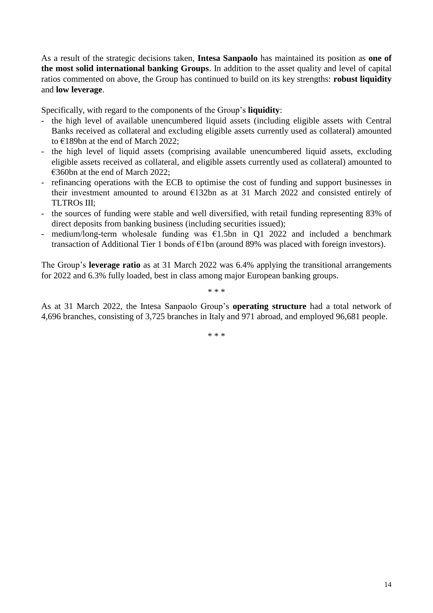As a result of the strategic decisions taken, **Intesa Sanpaolo** has maintained its position as **one of the most solid international banking Groups**. In addition to the asset quality and level of capital ratios commented on above, the Group has continued to build on its key strengths: **robust liquidity** and **low leverage**.

Specifically, with regard to the components of the Group's **liquidity**:

- the high level of available unencumbered liquid assets (including eligible assets with Central Banks received as collateral and excluding eligible assets currently used as collateral) amounted to €189bn at the end of March 2022;
- the high level of liquid assets (comprising available unencumbered liquid assets, excluding eligible assets received as collateral, and eligible assets currently used as collateral) amounted to €360bn at the end of March 2022;
- refinancing operations with the ECB to optimise the cost of funding and support businesses in their investment amounted to around €132bn as at 31 March 2022 and consisted entirely of TLTROs III;
- the sources of funding were stable and well diversified, with retail funding representing 83% of direct deposits from banking business (including securities issued);
- medium/long-term wholesale funding was  $E1.5$ bn in Q1 2022 and included a benchmark transaction of Additional Tier 1 bonds of €1bn (around 89% was placed with foreign investors).

The Group's **leverage ratio** as at 31 March 2022 was 6.4% applying the transitional arrangements for 2022 and 6.3% fully loaded, best in class among major European banking groups.

\* \* \*

As at 31 March 2022, the Intesa Sanpaolo Group's **operating structure** had a total network of 4,696 branches, consisting of 3,725 branches in Italy and 971 abroad, and employed 96,681 people.

\* \* \*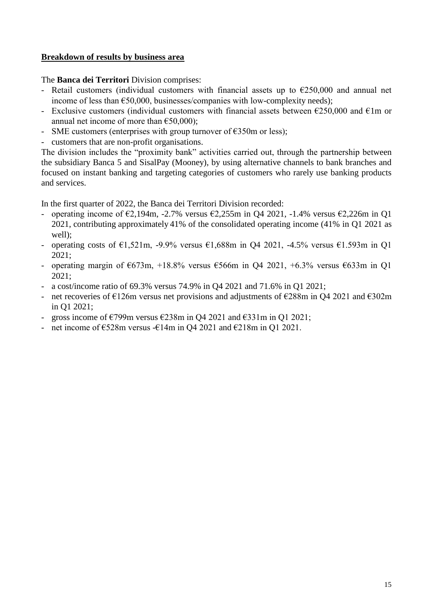### **Breakdown of results by business area**

The **Banca dei Territori** Division comprises:

- Retail customers (individual customers with financial assets up to  $\epsilon$ 250,000 and annual net income of less than  $\epsilon$ 50,000, businesses/companies with low-complexity needs);
- Exclusive customers (individual customers with financial assets between  $\epsilon$ 250,000 and  $\epsilon$ 1m or annual net income of more than  $\epsilon$ 50,000):
- SME customers (enterprises with group turnover of  $\epsilon$ 350m or less);
- customers that are non-profit organisations.

The division includes the "proximity bank" activities carried out, through the partnership between the subsidiary Banca 5 and SisalPay (Mooney), by using alternative channels to bank branches and focused on instant banking and targeting categories of customers who rarely use banking products and services.

In the first quarter of 2022, the Banca dei Territori Division recorded:

- operating income of  $\epsilon$ 2,194m, -2.7% versus  $\epsilon$ 2,255m in O4 2021, -1.4% versus  $\epsilon$ 2,226m in O1 2021, contributing approximately 41% of the consolidated operating income (41% in Q1 2021 as well);
- operating costs of €1,521m, -9.9% versus €1,688m in O4 2021, -4.5% versus €1.593m in O1 2021;
- operating margin of  $673m$ ,  $+18.8\%$  versus  $6566m$  in Q4 2021,  $+6.3\%$  versus  $633m$  in Q1 2021;
- a cost/income ratio of 69.3% versus 74.9% in Q4 2021 and 71.6% in Q1 2021;
- net recoveries of  $\epsilon$ 126m versus net provisions and adjustments of  $\epsilon$ 288m in Q4 2021 and  $\epsilon$ 302m in Q1 2021;
- gross income of  $\epsilon$ 799m versus  $\epsilon$ 238m in Q4 2021 and  $\epsilon$ 331m in Q1 2021;
- net income of  $\epsilon$ 528m versus - $\epsilon$ 14m in Q4 2021 and  $\epsilon$ 218m in Q1 2021.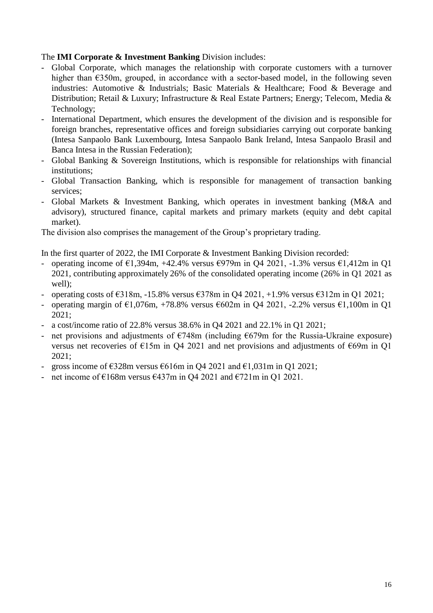#### The **IMI Corporate & Investment Banking** Division includes:

- Global Corporate, which manages the relationship with corporate customers with a turnover higher than  $\epsilon$ 350m, grouped, in accordance with a sector-based model, in the following seven industries: Automotive & Industrials; Basic Materials & Healthcare; Food & Beverage and Distribution; Retail & Luxury; Infrastructure & Real Estate Partners; Energy; Telecom, Media & Technology;
- International Department, which ensures the development of the division and is responsible for foreign branches, representative offices and foreign subsidiaries carrying out corporate banking (Intesa Sanpaolo Bank Luxembourg, Intesa Sanpaolo Bank Ireland, Intesa Sanpaolo Brasil and Banca Intesa in the Russian Federation);
- Global Banking & Sovereign Institutions, which is responsible for relationships with financial institutions;
- Global Transaction Banking, which is responsible for management of transaction banking services;
- Global Markets & Investment Banking, which operates in investment banking (M&A and advisory), structured finance, capital markets and primary markets (equity and debt capital market).

The division also comprises the management of the Group's proprietary trading.

In the first quarter of 2022, the IMI Corporate & Investment Banking Division recorded:

- operating income of  $\epsilon$ 1,394m, +42.4% versus  $\epsilon$ 979m in Q4 2021, -1.3% versus  $\epsilon$ 1,412m in Q1 2021, contributing approximately 26% of the consolidated operating income (26% in Q1 2021 as well);
- operating costs of  $\text{\textsterling}318m$ , -15.8% versus  $\text{\textsterling}378m$  in Q4 2021, +1.9% versus  $\text{\textsterling}312m$  in Q1 2021;
- operating margin of  $\epsilon$ 1,076m, +78.8% versus  $\epsilon$ 602m in Q4 2021, -2.2% versus  $\epsilon$ 1,100m in Q1 2021;
- a cost/income ratio of 22.8% versus 38.6% in Q4 2021 and 22.1% in Q1 2021;
- net provisions and adjustments of  $\epsilon$ 748m (including  $\epsilon$ 679m for the Russia-Ukraine exposure) versus net recoveries of €15m in Q4 2021 and net provisions and adjustments of €69m in Q1 2021;
- gross income of  $\epsilon$ 328m versus  $\epsilon$ 616m in Q4 2021 and  $\epsilon$ 1,031m in Q1 2021;
- net income of  $\epsilon$ 168m versus  $\epsilon$ 437m in Q4 2021 and  $\epsilon$ 721m in Q1 2021.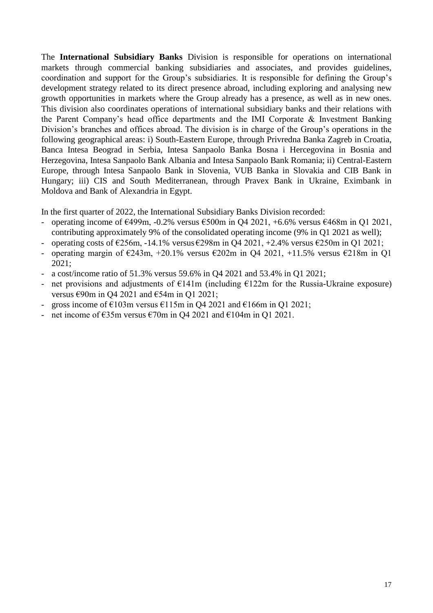The **International Subsidiary Banks** Division is responsible for operations on international markets through commercial banking subsidiaries and associates, and provides guidelines, coordination and support for the Group's subsidiaries. It is responsible for defining the Group's development strategy related to its direct presence abroad, including exploring and analysing new growth opportunities in markets where the Group already has a presence, as well as in new ones. This division also coordinates operations of international subsidiary banks and their relations with the Parent Company's head office departments and the IMI Corporate & Investment Banking Division's branches and offices abroad. The division is in charge of the Group's operations in the following geographical areas: i) South-Eastern Europe, through Privredna Banka Zagreb in Croatia, Banca Intesa Beograd in Serbia, Intesa Sanpaolo Banka Bosna i Hercegovina in Bosnia and Herzegovina, Intesa Sanpaolo Bank Albania and Intesa Sanpaolo Bank Romania; ii) Central-Eastern Europe, through Intesa Sanpaolo Bank in Slovenia, VUB Banka in Slovakia and CIB Bank in Hungary; iii) CIS and South Mediterranean, through Pravex Bank in Ukraine, Eximbank in Moldova and Bank of Alexandria in Egypt.

In the first quarter of 2022, the International Subsidiary Banks Division recorded:

- operating income of  $\epsilon$ 499m, -0.2% versus  $\epsilon$ 500m in Q4 2021, +6.6% versus  $\epsilon$ 468m in Q1 2021, contributing approximately 9% of the consolidated operating income (9% in Q1 2021 as well);
- operating costs of  $\epsilon$ 256m, -14.1% versus  $\epsilon$ 298m in Q4 2021, +2.4% versus  $\epsilon$ 250m in Q1 2021;
- operating margin of  $\epsilon$ 243m, +20.1% versus  $\epsilon$ 202m in Q4 2021, +11.5% versus  $\epsilon$ 218m in Q1 2021;
- a cost/income ratio of 51.3% versus 59.6% in Q4 2021 and 53.4% in Q1 2021;
- net provisions and adjustments of  $E141m$  (including  $E122m$  for the Russia-Ukraine exposure) versus €90m in Q4 2021 and €54m in Q1 2021;
- gross income of  $\epsilon$ 103m versus  $\epsilon$ 115m in Q4 2021 and  $\epsilon$ 166m in Q1 2021;
- net income of  $\epsilon$ 35m versus  $\epsilon$ 70m in Q4 2021 and  $\epsilon$ 104m in Q1 2021.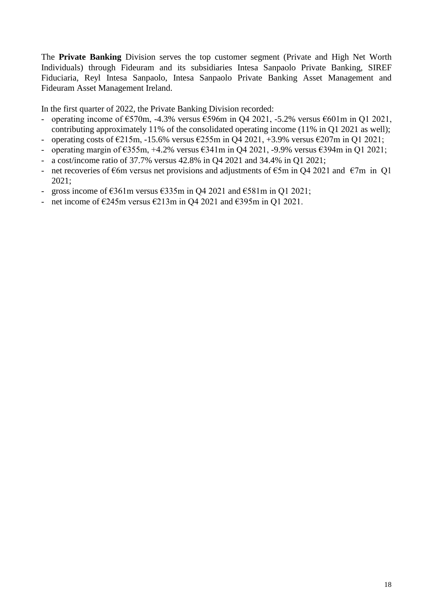The **Private Banking** Division serves the top customer segment (Private and High Net Worth Individuals) through Fideuram and its subsidiaries Intesa Sanpaolo Private Banking, SIREF Fiduciaria, Reyl Intesa Sanpaolo, Intesa Sanpaolo Private Banking Asset Management and Fideuram Asset Management Ireland.

In the first quarter of 2022, the Private Banking Division recorded:

- operating income of  $\epsilon$ 570m, -4.3% versus  $\epsilon$ 596m in Q4 2021, -5.2% versus  $\epsilon$ 601m in Q1 2021, contributing approximately 11% of the consolidated operating income (11% in Q1 2021 as well);
- operating costs of  $\epsilon$ 215m, -15.6% versus  $\epsilon$ 255m in Q4 2021, +3.9% versus  $\epsilon$ 207m in Q1 2021;
- operating margin of  $\epsilon$ 355m, +4.2% versus  $\epsilon$ 341m in O4 2021, -9.9% versus  $\epsilon$ 394m in O1 2021;
- a cost/income ratio of 37.7% versus 42.8% in Q4 2021 and 34.4% in Q1 2021;
- net recoveries of  $\epsilon$ 6m versus net provisions and adjustments of  $\epsilon$ 5m in Q4 2021 and  $\epsilon$ 7m in Q1 2021;
- gross income of  $\epsilon$ 361m versus  $\epsilon$ 335m in Q4 2021 and  $\epsilon$ 581m in Q1 2021;
- net income of  $\epsilon$ 245m versus  $\epsilon$ 213m in Q4 2021 and  $\epsilon$ 395m in Q1 2021.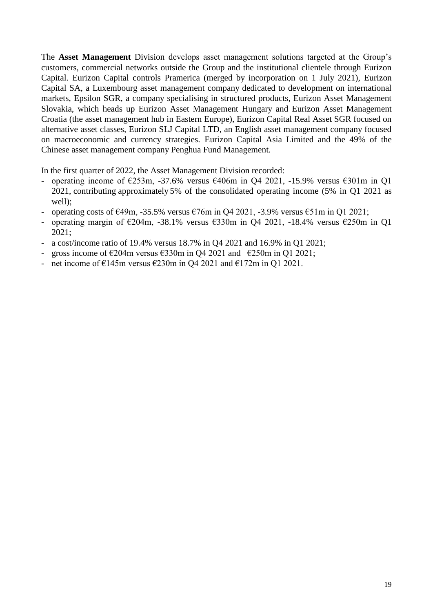The **Asset Management** Division develops asset management solutions targeted at the Group's customers, commercial networks outside the Group and the institutional clientele through Eurizon Capital. Eurizon Capital controls Pramerica (merged by incorporation on 1 July 2021), Eurizon Capital SA, a Luxembourg asset management company dedicated to development on international markets, Epsilon SGR, a company specialising in structured products, Eurizon Asset Management Slovakia, which heads up Eurizon Asset Management Hungary and Eurizon Asset Management Croatia (the asset management hub in Eastern Europe), Eurizon Capital Real Asset SGR focused on alternative asset classes, Eurizon SLJ Capital LTD, an English asset management company focused on macroeconomic and currency strategies. Eurizon Capital Asia Limited and the 49% of the Chinese asset management company Penghua Fund Management.

In the first quarter of 2022, the Asset Management Division recorded:

- operating income of  $\epsilon$ 253m, -37.6% versus  $\epsilon$ 406m in Q4 2021, -15.9% versus  $\epsilon$ 301m in Q1 2021, contributing approximately 5% of the consolidated operating income (5% in Q1 2021 as well);
- operating costs of  $\epsilon$ 49m, -35.5% versus  $\epsilon$ 76m in Q4 2021, -3.9% versus  $\epsilon$ 51m in Q1 2021;
- operating margin of  $\epsilon$ 204m, -38.1% versus  $\epsilon$ 330m in Q4 2021, -18.4% versus  $\epsilon$ 250m in Q1 2021;
- a cost/income ratio of 19.4% versus 18.7% in Q4 2021 and 16.9% in Q1 2021;
- gross income of  $\epsilon$ 204m versus  $\epsilon$ 330m in Q4 2021 and  $\epsilon$ 250m in Q1 2021;
- net income of  $\epsilon$ 145m versus  $\epsilon$ 230m in O4 2021 and  $\epsilon$ 172m in O1 2021.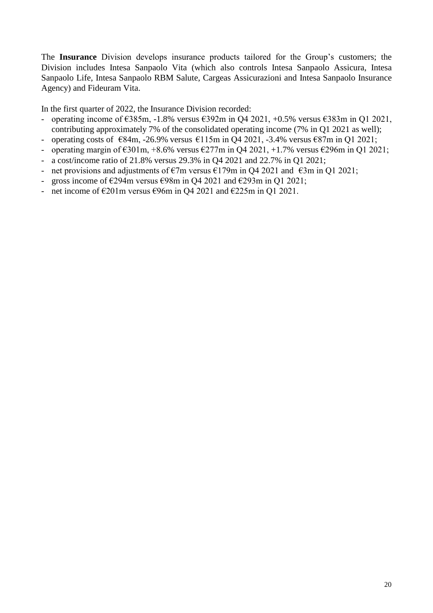The **Insurance** Division develops insurance products tailored for the Group's customers; the Division includes Intesa Sanpaolo Vita (which also controls Intesa Sanpaolo Assicura, Intesa Sanpaolo Life, Intesa Sanpaolo RBM Salute, Cargeas Assicurazioni and Intesa Sanpaolo Insurance Agency) and Fideuram Vita.

In the first quarter of 2022, the Insurance Division recorded:

- operating income of  $\epsilon$ 385m, -1.8% versus  $\epsilon$ 392m in Q4 2021, +0.5% versus  $\epsilon$ 383m in Q1 2021, contributing approximately 7% of the consolidated operating income (7% in Q1 2021 as well);
- operating costs of  $\epsilon$ 84m, -26.9% versus  $\epsilon$ 115m in Q4 2021, -3.4% versus  $\epsilon$ 87m in Q1 2021;
- operating margin of  $\epsilon$ 301m, +8.6% versus  $\epsilon$ 277m in Q4 2021, +1.7% versus  $\epsilon$ 296m in Q1 2021;
- a cost/income ratio of 21.8% versus 29.3% in Q4 2021 and 22.7% in Q1 2021;
- net provisions and adjustments of  $\epsilon$ 7m versus  $\epsilon$ 179m in Q4 2021 and  $\epsilon$ 3m in Q1 2021;
- gross income of  $\epsilon$ 294m versus  $\epsilon$ 98m in Q4 2021 and  $\epsilon$ 293m in Q1 2021;
- net income of  $\epsilon$ 201m versus  $\epsilon$ 96m in Q4 2021 and  $\epsilon$ 225m in Q1 2021.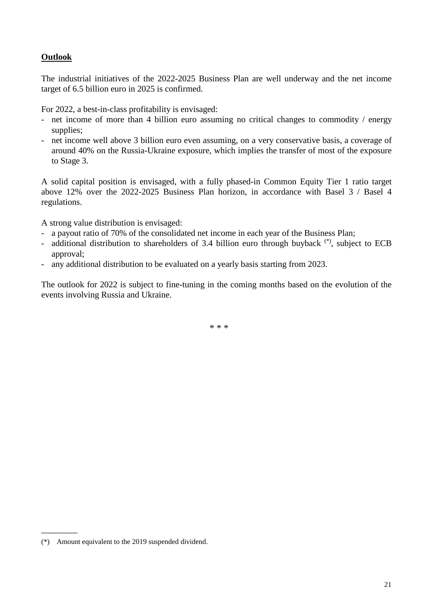### **Outlook**

The industrial initiatives of the 2022-2025 Business Plan are well underway and the net income target of 6.5 billion euro in 2025 is confirmed.

For 2022, a best-in-class profitability is envisaged:

- net income of more than 4 billion euro assuming no critical changes to commodity / energy supplies;
- net income well above 3 billion euro even assuming, on a very conservative basis, a coverage of around 40% on the Russia-Ukraine exposure, which implies the transfer of most of the exposure to Stage 3.

A solid capital position is envisaged, with a fully phased-in Common Equity Tier 1 ratio target above 12% over the 2022-2025 Business Plan horizon, in accordance with Basel 3 / Basel 4 regulations.

A strong value distribution is envisaged:

- a payout ratio of 70% of the consolidated net income in each year of the Business Plan;
- additional distribution to shareholders of 3.4 billion euro through buyback  $(*)$ , subject to ECB approval;
- any additional distribution to be evaluated on a yearly basis starting from 2023.

The outlook for 2022 is subject to fine-tuning in the coming months based on the evolution of the events involving Russia and Ukraine.

\* \* \*

\_\_\_\_\_\_\_\_

<sup>(\*)</sup> Amount equivalent to the 2019 suspended dividend.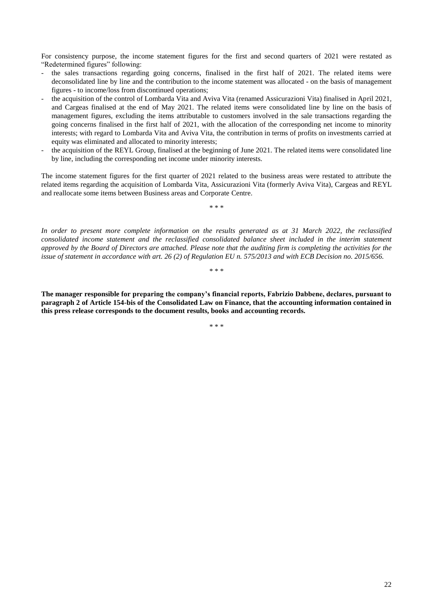For consistency purpose, the income statement figures for the first and second quarters of 2021 were restated as "Redetermined figures" following:

- the sales transactions regarding going concerns, finalised in the first half of 2021. The related items were deconsolidated line by line and the contribution to the income statement was allocated - on the basis of management figures - to income/loss from discontinued operations;
- the acquisition of the control of Lombarda Vita and Aviva Vita (renamed Assicurazioni Vita) finalised in April 2021, and Cargeas finalised at the end of May 2021. The related items were consolidated line by line on the basis of management figures, excluding the items attributable to customers involved in the sale transactions regarding the going concerns finalised in the first half of 2021, with the allocation of the corresponding net income to minority interests; with regard to Lombarda Vita and Aviva Vita, the contribution in terms of profits on investments carried at equity was eliminated and allocated to minority interests;
- the acquisition of the REYL Group, finalised at the beginning of June 2021. The related items were consolidated line by line, including the corresponding net income under minority interests.

The income statement figures for the first quarter of 2021 related to the business areas were restated to attribute the related items regarding the acquisition of Lombarda Vita, Assicurazioni Vita (formerly Aviva Vita), Cargeas and REYL and reallocate some items between Business areas and Corporate Centre.

\* \* \*

*In order to present more complete information on the results generated as at 31 March 2022, the reclassified consolidated income statement and the reclassified consolidated balance sheet included in the interim statement approved by the Board of Directors are attached. Please note that the auditing firm is completing the activities for the issue of statement in accordance with art. 26 (2) of Regulation EU n. 575/2013 and with ECB Decision no. 2015/656.*

\* \* \*

**The manager responsible for preparing the company's financial reports, Fabrizio Dabbene, declares, pursuant to paragraph 2 of Article 154-bis of the Consolidated Law on Finance, that the accounting information contained in this press release corresponds to the document results, books and accounting records.**

\* \* \*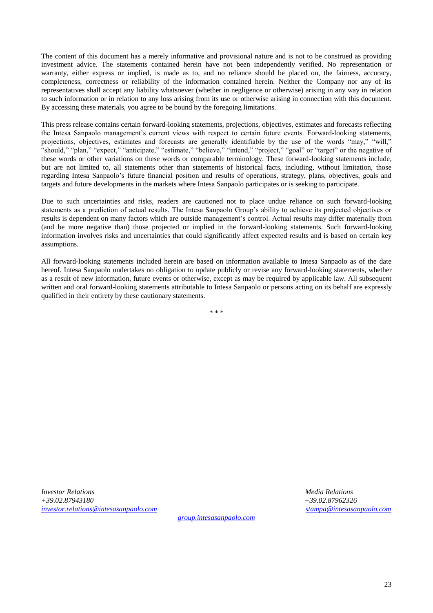The content of this document has a merely informative and provisional nature and is not to be construed as providing investment advice. The statements contained herein have not been independently verified. No representation or warranty, either express or implied, is made as to, and no reliance should be placed on, the fairness, accuracy, completeness, correctness or reliability of the information contained herein. Neither the Company nor any of its representatives shall accept any liability whatsoever (whether in negligence or otherwise) arising in any way in relation to such information or in relation to any loss arising from its use or otherwise arising in connection with this document. By accessing these materials, you agree to be bound by the foregoing limitations.

This press release contains certain forward-looking statements, projections, objectives, estimates and forecasts reflecting the Intesa Sanpaolo management's current views with respect to certain future events. Forward-looking statements, projections, objectives, estimates and forecasts are generally identifiable by the use of the words "may," "will," "should," "plan," "expect," "anticipate," "estimate," "believe," "intend," "project," "goal" or "target" or the negative of these words or other variations on these words or comparable terminology. These forward-looking statements include, but are not limited to, all statements other than statements of historical facts, including, without limitation, those regarding Intesa Sanpaolo's future financial position and results of operations, strategy, plans, objectives, goals and targets and future developments in the markets where Intesa Sanpaolo participates or is seeking to participate.

Due to such uncertainties and risks, readers are cautioned not to place undue reliance on such forward-looking statements as a prediction of actual results. The Intesa Sanpaolo Group's ability to achieve its projected objectives or results is dependent on many factors which are outside management's control. Actual results may differ materially from (and be more negative than) those projected or implied in the forward-looking statements. Such forward-looking information involves risks and uncertainties that could significantly affect expected results and is based on certain key assumptions.

All forward-looking statements included herein are based on information available to Intesa Sanpaolo as of the date hereof. Intesa Sanpaolo undertakes no obligation to update publicly or revise any forward-looking statements, whether as a result of new information, future events or otherwise, except as may be required by applicable law. All subsequent written and oral forward-looking statements attributable to Intesa Sanpaolo or persons acting on its behalf are expressly qualified in their entirety by these cautionary statements.

\* \* \*

*Investor Relations Media Relations +39.02.87943180 +39.02.87962326 [investor.relations@intesasanpaolo.com](mailto:investor.relations@intesasanpaolo.com) [stampa@intesasanpaolo.com](mailto:stampa@intesasanpaolo.com)*

*[group.intesasanpaolo.com](https://group.intesasanpaolo.com/en/)*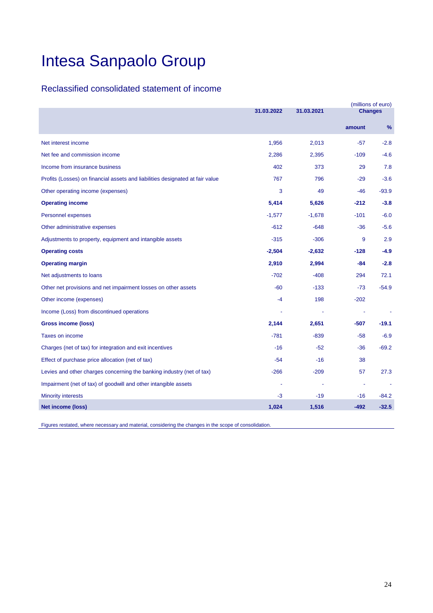### Reclassified consolidated statement of income

|                                                                               | 31.03.2022 | (millions of euro)<br><b>Changes</b> |        |               |
|-------------------------------------------------------------------------------|------------|--------------------------------------|--------|---------------|
|                                                                               |            | 31.03.2021                           |        |               |
|                                                                               |            |                                      | amount | $\frac{9}{6}$ |
| Net interest income                                                           | 1,956      | 2,013                                | $-57$  | $-2.8$        |
| Net fee and commission income                                                 | 2,286      | 2,395                                | $-109$ | $-4.6$        |
| Income from insurance business                                                | 402        | 373                                  | 29     | 7.8           |
| Profits (Losses) on financial assets and liabilities designated at fair value | 767        | 796                                  | $-29$  | $-3.6$        |
| Other operating income (expenses)                                             | 3          | 49                                   | $-46$  | $-93.9$       |
| <b>Operating income</b>                                                       | 5,414      | 5,626                                | $-212$ | $-3.8$        |
| Personnel expenses                                                            | $-1,577$   | $-1,678$                             | $-101$ | $-6.0$        |
| Other administrative expenses                                                 | $-612$     | $-648$                               | $-36$  | $-5.6$        |
| Adjustments to property, equipment and intangible assets                      | $-315$     | $-306$                               | 9      | 2.9           |
| <b>Operating costs</b>                                                        | $-2,504$   | $-2,632$                             | $-128$ | $-4.9$        |
| <b>Operating margin</b>                                                       | 2,910      | 2,994                                | -84    | $-2.8$        |
| Net adjustments to loans                                                      | $-702$     | $-408$                               | 294    | 72.1          |
| Other net provisions and net impairment losses on other assets                | $-60$      | $-133$                               | $-73$  | $-54.9$       |
| Other income (expenses)                                                       | $-4$       | 198                                  | $-202$ |               |
| Income (Loss) from discontinued operations                                    |            |                                      |        |               |
| <b>Gross income (loss)</b>                                                    | 2,144      | 2,651                                | $-507$ | $-19.1$       |
| Taxes on income                                                               | $-781$     | $-839$                               | $-58$  | $-6.9$        |
| Charges (net of tax) for integration and exit incentives                      | $-16$      | $-52$                                | $-36$  | $-69.2$       |
| Effect of purchase price allocation (net of tax)                              | $-54$      | $-16$                                | 38     |               |
| Levies and other charges concerning the banking industry (net of tax)         | $-266$     | $-209$                               | 57     | 27.3          |
| Impairment (net of tax) of goodwill and other intangible assets               |            |                                      |        |               |
| <b>Minority interests</b>                                                     | $-3$       | $-19$                                | $-16$  | $-84.2$       |
| <b>Net income (loss)</b>                                                      | 1,024      | 1,516                                | $-492$ | $-32.5$       |

Figures restated, where necessary and material, considering the changes in the scope of consolidation.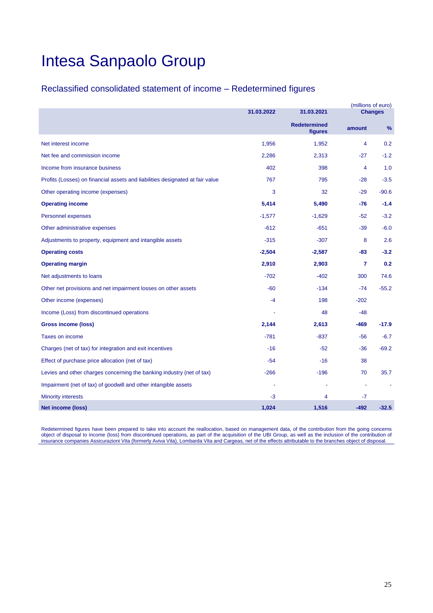### Reclassified consolidated statement of income – Redetermined figures

|                                                                               |            |                                |                | (millions of euro) |
|-------------------------------------------------------------------------------|------------|--------------------------------|----------------|--------------------|
|                                                                               | 31.03.2022 | 31.03.2021                     |                | <b>Changes</b>     |
|                                                                               |            | <b>Redetermined</b><br>figures | amount         | $\frac{9}{6}$      |
| Net interest income                                                           | 1,956      | 1,952                          | 4              | 0.2                |
| Net fee and commission income                                                 | 2,286      | 2,313                          | $-27$          | $-1.2$             |
| Income from insurance business                                                | 402        | 398                            | 4              | 1.0                |
| Profits (Losses) on financial assets and liabilities designated at fair value | 767        | 795                            | $-28$          | $-3.5$             |
| Other operating income (expenses)                                             | 3          | 32                             | $-29$          | $-90.6$            |
| <b>Operating income</b>                                                       | 5,414      | 5,490                          | -76            | $-1.4$             |
| Personnel expenses                                                            | $-1,577$   | $-1,629$                       | $-52$          | $-3.2$             |
| Other administrative expenses                                                 | $-612$     | $-651$                         | $-39$          | $-6.0$             |
| Adjustments to property, equipment and intangible assets                      | $-315$     | $-307$                         | 8              | 2.6                |
| <b>Operating costs</b>                                                        | $-2,504$   | $-2,587$                       | -83            | $-3.2$             |
| <b>Operating margin</b>                                                       | 2,910      | 2,903                          | $\overline{7}$ | 0.2                |
| Net adjustments to loans                                                      | $-702$     | $-402$                         | 300            | 74.6               |
| Other net provisions and net impairment losses on other assets                | $-60$      | $-134$                         | $-74$          | $-55.2$            |
| Other income (expenses)                                                       | $-4$       | 198                            | $-202$         |                    |
| Income (Loss) from discontinued operations                                    |            | 48                             | $-48$          |                    |
| <b>Gross income (loss)</b>                                                    | 2,144      | 2,613                          | -469           | $-17.9$            |
| <b>Taxes on income</b>                                                        | $-781$     | $-837$                         | $-56$          | $-6.7$             |
| Charges (net of tax) for integration and exit incentives                      | $-16$      | $-52$                          | $-36$          | $-69.2$            |
| Effect of purchase price allocation (net of tax)                              | $-54$      | $-16$                          | 38             |                    |
| Levies and other charges concerning the banking industry (net of tax)         | $-266$     | $-196$                         | 70             | 35.7               |
| Impairment (net of tax) of goodwill and other intangible assets               |            |                                |                |                    |
| <b>Minority interests</b>                                                     | -3         | 4                              | $-7$           |                    |
| <b>Net income (loss)</b>                                                      | 1,024      | 1,516                          | $-492$         | $-32.5$            |

Redetermined figures have been prepared to take into account the reallocation, based on management data, of the contribution from the going concerns object of disposal to income (loss) from discontinued operations, as part of the acquisition of the UBI Group, as well as the inclusion of the contribution of insurance companies Assicurazioni Vita (formerly Aviva Vita), Lombarda Vita and Cargeas, net of the effects attributable to the branches object of disposal.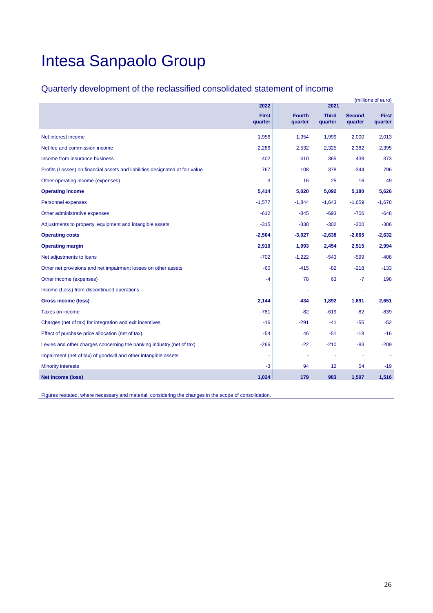## Quarterly development of the reclassified consolidated statement of income

|                                                                               |                         |                          | (millions of euro)      |                   |                         |
|-------------------------------------------------------------------------------|-------------------------|--------------------------|-------------------------|-------------------|-------------------------|
|                                                                               | 2022                    |                          | 2021                    |                   |                         |
|                                                                               | <b>First</b><br>quarter | <b>Fourth</b><br>quarter | <b>Third</b><br>quarter | Second<br>quarter | <b>First</b><br>quarter |
| Net interest income                                                           | 1,956                   | 1,954                    | 1,999                   | 2,000             | 2,013                   |
| Net fee and commission income                                                 | 2,286                   | 2,532                    | 2,325                   | 2,382             | 2,395                   |
| Income from insurance business                                                | 402                     | 410                      | 365                     | 438               | 373                     |
| Profits (Losses) on financial assets and liabilities designated at fair value | 767                     | 108                      | 378                     | 344               | 796                     |
| Other operating income (expenses)                                             | 3                       | 16                       | 25                      | 16                | 49                      |
| <b>Operating income</b>                                                       | 5,414                   | 5,020                    | 5,092                   | 5,180             | 5,626                   |
| Personnel expenses                                                            | $-1,577$                | $-1,844$                 | $-1,643$                | $-1,659$          | $-1,678$                |
| Other administrative expenses                                                 | $-612$                  | $-845$                   | $-693$                  | $-706$            | $-648$                  |
| Adjustments to property, equipment and intangible assets                      | $-315$                  | $-338$                   | $-302$                  | $-300$            | $-306$                  |
| <b>Operating costs</b>                                                        | $-2,504$                | $-3,027$                 | $-2,638$                | $-2,665$          | $-2,632$                |
| <b>Operating margin</b>                                                       | 2,910                   | 1,993                    | 2,454                   | 2,515             | 2,994                   |
| Net adjustments to loans                                                      | $-702$                  | $-1,222$                 | $-543$                  | $-599$            | $-408$                  |
| Other net provisions and net impairment losses on other assets                | $-60$                   | $-415$                   | $-82$                   | $-218$            | $-133$                  |
| Other income (expenses)                                                       | -4                      | 78                       | 63                      | $-7$              | 198                     |
| Income (Loss) from discontinued operations                                    |                         |                          |                         |                   |                         |
| <b>Gross income (loss)</b>                                                    | 2,144                   | 434                      | 1,892                   | 1,691             | 2,651                   |
| Taxes on income                                                               | $-781$                  | $-82$                    | $-619$                  | $-82$             | $-839$                  |
| Charges (net of tax) for integration and exit incentives                      | $-16$                   | $-291$                   | $-41$                   | $-55$             | $-52$                   |
| Effect of purchase price allocation (net of tax)                              | $-54$                   | 46                       | $-51$                   | $-18$             | $-16$                   |
| Levies and other charges concerning the banking industry (net of tax)         | $-266$                  | $-22$                    | $-210$                  | $-83$             | $-209$                  |
| Impairment (net of tax) of goodwill and other intangible assets               |                         |                          |                         |                   |                         |
| <b>Minority interests</b>                                                     | -3                      | 94                       | 12                      | 54                | $-19$                   |
| <b>Net income (loss)</b>                                                      | 1,024                   | 179                      | 983                     | 1,507             | 1,516                   |

Figures restated, where necessary and material, considering the changes in the scope of consolidation.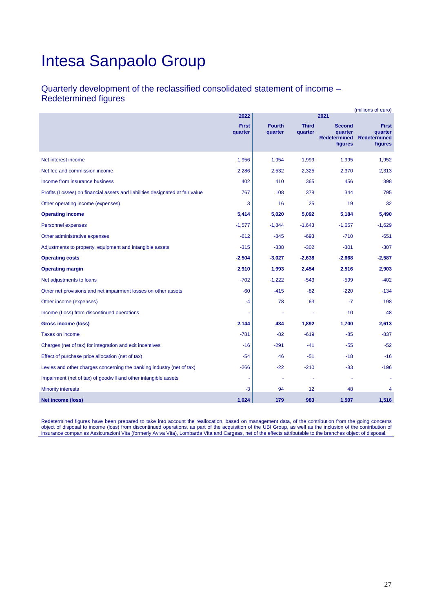### Quarterly development of the reclassified consolidated statement of income – Redetermined figures

| (millions of euro)                                                            |                         |                          |                         |                                                            |                                                           |  |
|-------------------------------------------------------------------------------|-------------------------|--------------------------|-------------------------|------------------------------------------------------------|-----------------------------------------------------------|--|
|                                                                               | 2022                    |                          |                         | 2021                                                       |                                                           |  |
|                                                                               | <b>First</b><br>quarter | <b>Fourth</b><br>quarter | <b>Third</b><br>quarter | <b>Second</b><br>quarter<br><b>Redetermined</b><br>figures | <b>First</b><br>quarter<br><b>Redetermined</b><br>figures |  |
| Net interest income                                                           | 1,956                   | 1,954                    | 1,999                   | 1,995                                                      | 1,952                                                     |  |
| Net fee and commission income                                                 | 2,286                   | 2,532                    | 2,325                   | 2,370                                                      | 2,313                                                     |  |
| Income from insurance business                                                | 402                     | 410                      | 365                     | 456                                                        | 398                                                       |  |
| Profits (Losses) on financial assets and liabilities designated at fair value | 767                     | 108                      | 378                     | 344                                                        | 795                                                       |  |
| Other operating income (expenses)                                             | 3                       | 16                       | 25                      | 19                                                         | 32                                                        |  |
| <b>Operating income</b>                                                       | 5,414                   | 5,020                    | 5,092                   | 5,184                                                      | 5,490                                                     |  |
| Personnel expenses                                                            | $-1,577$                | $-1,844$                 | $-1,643$                | $-1,657$                                                   | $-1,629$                                                  |  |
| Other administrative expenses                                                 | $-612$                  | $-845$                   | $-693$                  | $-710$                                                     | $-651$                                                    |  |
| Adjustments to property, equipment and intangible assets                      | $-315$                  | $-338$                   | $-302$                  | $-301$                                                     | $-307$                                                    |  |
| <b>Operating costs</b>                                                        | $-2,504$                | $-3,027$                 | $-2,638$                | $-2,668$                                                   | $-2,587$                                                  |  |
| <b>Operating margin</b>                                                       | 2,910                   | 1,993                    | 2,454                   | 2,516                                                      | 2,903                                                     |  |
| Net adjustments to loans                                                      | $-702$                  | $-1,222$                 | $-543$                  | $-599$                                                     | $-402$                                                    |  |
| Other net provisions and net impairment losses on other assets                | $-60$                   | $-415$                   | $-82$                   | $-220$                                                     | $-134$                                                    |  |
| Other income (expenses)                                                       | $-4$                    | 78                       | 63                      | $-7$                                                       | 198                                                       |  |
| Income (Loss) from discontinued operations                                    |                         |                          |                         | 10                                                         | 48                                                        |  |
| Gross income (loss)                                                           | 2,144                   | 434                      | 1,892                   | 1,700                                                      | 2,613                                                     |  |
| Taxes on income                                                               | $-781$                  | $-82$                    | $-619$                  | $-85$                                                      | $-837$                                                    |  |
| Charges (net of tax) for integration and exit incentives                      | $-16$                   | $-291$                   | $-41$                   | $-55$                                                      | $-52$                                                     |  |
| Effect of purchase price allocation (net of tax)                              | $-54$                   | 46                       | $-51$                   | $-18$                                                      | $-16$                                                     |  |
| Levies and other charges concerning the banking industry (net of tax)         | -266                    | -22                      | $-210$                  | -83                                                        | $-196$                                                    |  |
| Impairment (net of tax) of goodwill and other intangible assets               | ٠                       | $\sim$                   |                         |                                                            | $\tilde{\phantom{a}}$                                     |  |
| <b>Minority interests</b>                                                     | -3                      | 94                       | 12                      | 48                                                         | 4                                                         |  |
| Net income (loss)                                                             | 1,024                   | 179                      | 983                     | 1,507                                                      | 1,516                                                     |  |

Redetermined figures have been prepared to take into account the reallocation, based on management data, of the contribution from the going concerns object of disposal to income (loss) from discontinued operations, as part of the acquisition of the UBI Group, as well as the inclusion of the contribution of insurance companies Assicurazioni Vita (formerly Aviva Vita), Lombarda Vita and Cargeas, net of the effects attributable to the branches object of disposal.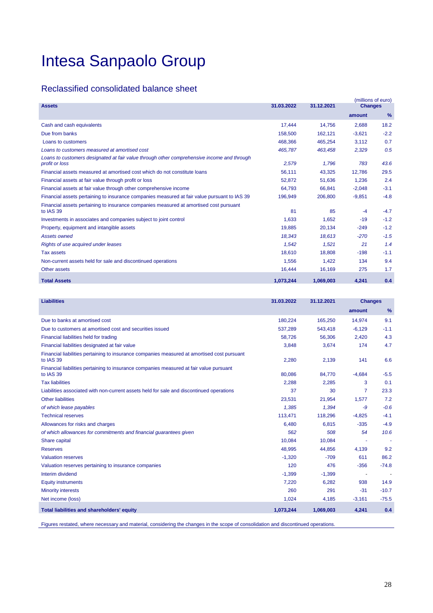## Reclassified consolidated balance sheet

|                                                                                                              |            |            | (millions of euro) |               |
|--------------------------------------------------------------------------------------------------------------|------------|------------|--------------------|---------------|
| <b>Assets</b>                                                                                                | 31.03.2022 | 31.12.2021 | <b>Changes</b>     |               |
|                                                                                                              |            |            | amount             | $\frac{9}{6}$ |
| Cash and cash equivalents                                                                                    | 17,444     | 14.756     | 2,688              | 18.2          |
| Due from banks                                                                                               | 158,500    | 162.121    | $-3.621$           | $-2.2$        |
| Loans to customers                                                                                           | 468,366    | 465,254    | 3,112              | 0.7           |
| Loans to customers measured at amortised cost                                                                | 465.787    | 463.458    | 2,329              | 0.5           |
| Loans to customers designated at fair value through other comprehensive income and through<br>profit or loss | 2,579      | 1,796      | 783                | 43.6          |
| Financial assets measured at amortised cost which do not constitute loans                                    | 56,111     | 43,325     | 12,786             | 29.5          |
| Financial assets at fair value through profit or loss                                                        | 52,872     | 51,636     | 1,236              | 2.4           |
| Financial assets at fair value through other comprehensive income                                            | 64.793     | 66.841     | $-2,048$           | $-3.1$        |
| Financial assets pertaining to insurance companies measured at fair value pursuant to IAS 39                 | 196,949    | 206.800    | $-9,851$           | $-4.8$        |
| Financial assets pertaining to insurance companies measured at amortised cost pursuant<br>to IAS 39          | 81         | 85         | $-4$               | $-4.7$        |
| Investments in associates and companies subject to joint control                                             | 1,633      | 1,652      | $-19$              | $-1.2$        |
| Property, equipment and intangible assets                                                                    | 19,885     | 20,134     | $-249$             | $-1.2$        |
| <b>Assets owned</b>                                                                                          | 18,343     | 18,613     | $-270$             | $-1.5$        |
| Rights of use acquired under leases                                                                          | 1.542      | 1.521      | 21                 | 1.4           |
| <b>Tax assets</b>                                                                                            | 18.610     | 18.808     | $-198$             | $-1.1$        |
| Non-current assets held for sale and discontinued operations                                                 | 1,556      | 1.422      | 134                | 9.4           |
| Other assets                                                                                                 | 16,444     | 16,169     | 275                | 1.7           |
| <b>Total Assets</b>                                                                                          | 1,073,244  | 1,069,003  | 4,241              | 0.4           |

| <b>Liabilities</b>                                                                                       | 31.03.2022 | 31.12.2021 | <b>Changes</b> |         |
|----------------------------------------------------------------------------------------------------------|------------|------------|----------------|---------|
|                                                                                                          |            |            | amount         | $\%$    |
| Due to banks at amortised cost                                                                           | 180,224    | 165,250    | 14,974         | 9.1     |
| Due to customers at amortised cost and securities issued                                                 | 537,289    | 543,418    | $-6,129$       | $-1.1$  |
| Financial liabilities held for trading                                                                   | 58.726     | 56,306     | 2,420          | 4.3     |
| Financial liabilities designated at fair value                                                           | 3,848      | 3,674      | 174            | 4.7     |
| Financial liabilities pertaining to insurance companies measured at amortised cost pursuant<br>to IAS 39 | 2,280      | 2,139      | 141            | 6.6     |
| Financial liabilities pertaining to insurance companies measured at fair value pursuant<br>to IAS 39     | 80.086     | 84.770     | $-4,684$       | $-5.5$  |
| <b>Tax liabilities</b>                                                                                   | 2,288      | 2,285      | 3              | 0.1     |
| Liabilities associated with non-current assets held for sale and discontinued operations                 | 37         | 30         | 7              | 23.3    |
| <b>Other liabilities</b>                                                                                 | 23,531     | 21,954     | 1,577          | 7.2     |
| of which lease payables                                                                                  | 1,385      | 1,394      | -9             | $-0.6$  |
| <b>Technical reserves</b>                                                                                | 113,471    | 118,296    | $-4,825$       | $-4.1$  |
| Allowances for risks and charges                                                                         | 6,480      | 6,815      | $-335$         | $-4.9$  |
| of which allowances for commitments and financial guarantees given                                       | 562        | 508        | 54             | 10.6    |
| Share capital                                                                                            | 10,084     | 10,084     |                |         |
| <b>Reserves</b>                                                                                          | 48,995     | 44,856     | 4,139          | 9.2     |
| <b>Valuation reserves</b>                                                                                | $-1,320$   | $-709$     | 611            | 86.2    |
| Valuation reserves pertaining to insurance companies                                                     | 120        | 476        | $-356$         | $-74.8$ |
| Interim dividend                                                                                         | $-1,399$   | $-1,399$   |                |         |
| <b>Equity instruments</b>                                                                                | 7.220      | 6.282      | 938            | 14.9    |
| <b>Minority interests</b>                                                                                | 260        | 291        | $-31$          | $-10.7$ |
| Net income (loss)                                                                                        | 1,024      | 4,185      | $-3,161$       | $-75.5$ |
| <b>Total liabilities and shareholders' equity</b>                                                        | 1,073,244  | 1,069,003  | 4,241          | 0.4     |

Figures restated, where necessary and material, considering the changes in the scope of consolidation and discontinued operations.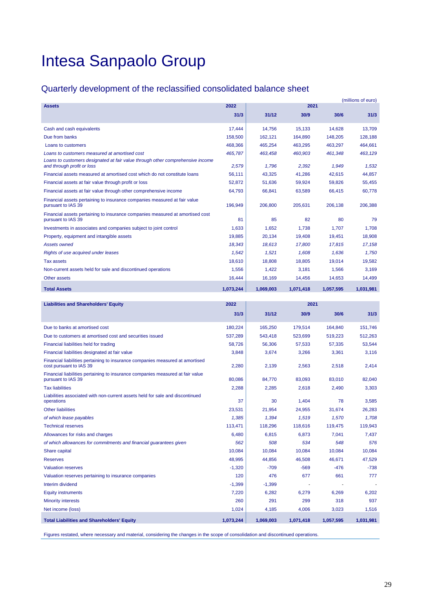## Quarterly development of the reclassified consolidated balance sheet

|                                                                                                              |           |           |           |           | (millions of euro) |
|--------------------------------------------------------------------------------------------------------------|-----------|-----------|-----------|-----------|--------------------|
| <b>Assets</b>                                                                                                | 2022      |           | 2021      |           |                    |
|                                                                                                              | 31/3      | 31/12     | 30/9      | 30/6      | 31/3               |
| Cash and cash equivalents                                                                                    | 17,444    | 14,756    | 15,133    | 14,628    | 13,709             |
| Due from banks                                                                                               | 158,500   | 162.121   | 164.890   | 148.205   | 128,188            |
| Loans to customers                                                                                           | 468,366   | 465,254   | 463,295   | 463,297   | 464,661            |
| Loans to customers measured at amortised cost                                                                | 465,787   | 463,458   | 460,903   | 461,348   | 463,129            |
| Loans to customers designated at fair value through other comprehensive income<br>and through profit or loss | 2,579     | 1,796     | 2,392     | 1,949     | 1,532              |
| Financial assets measured at amortised cost which do not constitute loans                                    | 56,111    | 43,325    | 41,286    | 42,615    | 44,857             |
| Financial assets at fair value through profit or loss                                                        | 52,872    | 51.636    | 59,924    | 59,826    | 55,455             |
| Financial assets at fair value through other comprehensive income                                            | 64,793    | 66,841    | 63,589    | 66,415    | 60,778             |
| Financial assets pertaining to insurance companies measured at fair value<br>pursuant to IAS 39              | 196,949   | 206,800   | 205,631   | 206,138   | 206,388            |
| Financial assets pertaining to insurance companies measured at amortised cost<br>pursuant to IAS 39          | 81        | 85        | 82        | 80        | 79                 |
| Investments in associates and companies subject to joint control                                             | 1,633     | 1.652     | 1.738     | 1.707     | 1.708              |
| Property, equipment and intangible assets                                                                    | 19,885    | 20,134    | 19,408    | 19,451    | 18,908             |
| <b>Assets owned</b>                                                                                          | 18,343    | 18.613    | 17,800    | 17,815    | 17,158             |
| Rights of use acquired under leases                                                                          | 1,542     | 1.521     | 1.608     | 1.636     | 1.750              |
| <b>Tax assets</b>                                                                                            | 18,610    | 18.808    | 18.805    | 19,014    | 19,582             |
| Non-current assets held for sale and discontinued operations                                                 | 1.556     | 1.422     | 3.181     | 1.566     | 3.169              |
| Other assets                                                                                                 | 16,444    | 16,169    | 14,456    | 14,653    | 14,499             |
| <b>Total Assets</b>                                                                                          | 1.073.244 | 1,069,003 | 1,071,418 | 1,057,595 | 1,031,981          |

| <b>Liabilities and Shareholders' Equity</b>                                                              | 2022<br>2021 |           |           |           |           |
|----------------------------------------------------------------------------------------------------------|--------------|-----------|-----------|-----------|-----------|
|                                                                                                          | 31/3         | 31/12     | 30/9      | 30/6      | 31/3      |
| Due to banks at amortised cost                                                                           | 180.224      | 165.250   | 179.514   | 164.840   | 151.746   |
| Due to customers at amortised cost and securities issued                                                 | 537,289      | 543,418   | 523,699   | 519,223   | 512,263   |
| Financial liabilities held for trading                                                                   | 58,726       | 56,306    | 57,533    | 57,335    | 53,544    |
| Financial liabilities designated at fair value                                                           | 3,848        | 3,674     | 3,266     | 3,361     | 3,116     |
| Financial liabilities pertaining to insurance companies measured at amortised<br>cost pursuant to IAS 39 | 2,280        | 2,139     | 2,563     | 2,518     | 2,414     |
| Financial liabilities pertaining to insurance companies measured at fair value<br>pursuant to IAS 39     | 80.086       | 84.770    | 83,093    | 83.010    | 82.040    |
| <b>Tax liabilities</b>                                                                                   | 2,288        | 2,285     | 2,618     | 2,490     | 3,303     |
| Liabilities associated with non-current assets held for sale and discontinued<br>operations              | 37           | 30        | 1,404     | 78        | 3,585     |
| <b>Other liabilities</b>                                                                                 | 23,531       | 21.954    | 24,955    | 31.674    | 26,283    |
| of which lease payables                                                                                  | 1,385        | 1,394     | 1,519     | 1,570     | 1,708     |
| <b>Technical reserves</b>                                                                                | 113,471      | 118,296   | 118,616   | 119,475   | 119,943   |
| Allowances for risks and charges                                                                         | 6,480        | 6.815     | 6.873     | 7.041     | 7.437     |
| of which allowances for commitments and financial guarantees given                                       | 562          | 508       | 534       | 548       | 576       |
| Share capital                                                                                            | 10.084       | 10.084    | 10.084    | 10.084    | 10,084    |
| <b>Reserves</b>                                                                                          | 48,995       | 44,856    | 46,508    | 46,671    | 47,529    |
| <b>Valuation reserves</b>                                                                                | $-1,320$     | $-709$    | $-569$    | $-476$    | $-738$    |
| Valuation reserves pertaining to insurance companies                                                     | 120          | 476       | 677       | 661       | 777       |
| Interim dividend                                                                                         | $-1,399$     | $-1,399$  |           |           |           |
| <b>Equity instruments</b>                                                                                | 7,220        | 6,282     | 6,279     | 6,269     | 6.202     |
| <b>Minority interests</b>                                                                                | 260          | 291       | 299       | 318       | 937       |
| Net income (loss)                                                                                        | 1,024        | 4,185     | 4,006     | 3,023     | 1,516     |
| <b>Total Liabilities and Shareholders' Equity</b>                                                        | 1.073.244    | 1,069,003 | 1.071.418 | 1,057,595 | 1.031.981 |

Figures restated, where necessary and material, considering the changes in the scope of consolidation and discontinued operations.